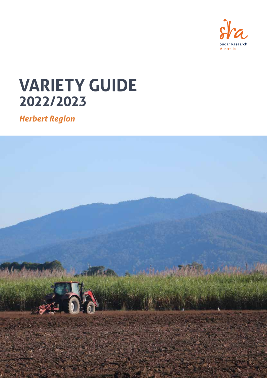

# **VARIETY GUIDE 2022/2023**

*Herbert Region*

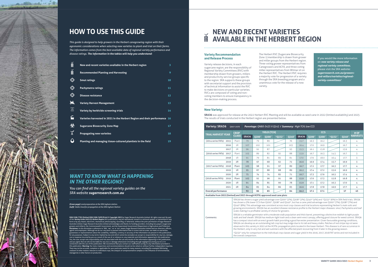

## **HOW TO USE THIS GUIDE**

*This guide is designed to help growers in the Herbert canegrowing region with their agronomic considerations when selecting new varieties to plant and trial on their farms. The information comes from the best available data of regional variety performance and disease ratings. The information in the tables will help you understand:* 

**ISSN 2208-7702 (Online) ISSN 2208-7699 (Print) © Copyright 2022** by Sugar Research Australia Limited. All rights reserved. No part<br>of the *Variety Guide 2022/23 Herbert Region* (this publication), may be reproduced, store pcopving, recording, or otherwise, without the prior per Australia Limited. Sugar Research Australia Limited acknowledges and thanks its funding providers, including levy payers (sugarcane growers and millers), the Commonwealth Government, and the Queensland Government (Department of Agriculture and Fisheries). In this disclaimer a reference to 'SRA', 'we', 'us' or 'our' means Sugar Re ough we do our very best to present information that is correct and accurate, we make no v entations about the suitability, reliability, currency or accuracy of the information we present in this publication, oses. Subject to any terms implied by law and which cannot be excluded, we accept no respo cost or expense incurred by you as a result of the use of, or reliance on, any materials and information appearing in this publication.<br>You, the user, accept sole responsibility and risk associated with the use and results and you agree that we will not be liable for any loss or damage whatsoever (including through negligence) arising out of, or in<br>connection with the use of this publication. We recommend that you contact our staff before ac this publication. **Warning:** Our tests, inspections and recommendations should not be relied on without further, independent inquiries. They may not be accurate, complete or applicable for your particular needs for many reasons, including (for exa<br>Imaware of other matters relevant to individual crops, the apalysis of unrepresentative samples or the influen  $\dot{}$ nt to individual crops, the analysis of unrepresentative samples or the influence of environmental, managerial or other factors on production.

## *WANT TO KNOW WHAT IS HAPPENING IN THE OTHER REGIONS?*

*You can find all the regional variety guides on the SRA website sugarresearch.com.au*

|                                      | New and recent varieties available in the Herbert region                | $\overline{3}$ |
|--------------------------------------|-------------------------------------------------------------------------|----------------|
| Ň                                    | <b>Recommended Planting and Harvesting</b>                              | 9              |
| ⊕                                    | <b>Smut ratings</b>                                                     | 10             |
|                                      | <b>Pachymetra ratings</b>                                               | 11             |
| ⊕                                    | <b>Disease resistance</b>                                               | 12             |
| 啺                                    | <b>Variety Harvest Management</b>                                       | 13             |
| $\frac{1}{2}$                        | Variety by herbicide screening trials                                   | 14             |
| $\widetilde{\mathbb{L}}_1$           | Varieties harvested in 2021 in the Herbert Region and their performance | 16             |
| $\bigcirc \hspace{-2.08cm} \bigcirc$ | <b>Sugarcane Biosecurity Zone Map</b>                                   | 17             |
| ソ<br>ネ                               | <b>Propagating new varieties</b>                                        | 18             |
|                                      | Planting and managing tissue-cultured plantlets in the field            | 19             |
|                                      |                                                                         |                |

#### **Variety Recommendation and Release Process**

Variety release decisions, in each sugarcane region, are the responsibility of Regional Variety Committees (RVC) with membership drawn from growers, millers and productivity service groups specific to the region. SRA supports these groups with secretariat support and the provision of technical information to assist the RVC to make decisions on particular varieties. RVCs are composed of voting and nonvoting members to ensure transparency in the decision-making process.

The Herbert RVC (Sugarcane Biosecurity Zone 1) membership is drawn from grower and miller groups from the Herbert region. Three voting grower representatives from Canegrowers and ACFA, and three voting miller representatives from Wilmar sit on the Herbert RVC. The Herbert RVC requires a majority vote for progression of a variety through the SRA breeding program and a unanimous vote for the release of a new variety.

#### **New Variety:**

**SRA36** was approved for release at the 2022 Herbert RVC Meeting and will be available as seed cane in 2022 (limited availability) and 2023. The results of trials conducted in the Herbert region are presented below.

If you would like more information on *new variety release and regional variety committees*, please visit the SRA website: *sugarresearch.com.au/growersand-millers/varieties/regionalvariety-committees/*

## **NEW AND RECENT VARIETIES No. AVAILABLE IN THE HERBERT REGION**

| <b>Variety: SRA36</b>                                                         | OA07-2978      |                         |                          |             | Parentage: QN80-3425 X Q142 / Summary: High TCH; low CCS     |                   |              |                          |             |                                                                                                                                                                                                                                                                                                                                                                                                                                                                                                                                                                                                                                                                                                                                                                                                                                                                                                                                                                                                                                                                                                                                                                                                                                                                                                                                                                                                                                                                             |      |                                                                                                                                  |
|-------------------------------------------------------------------------------|----------------|-------------------------|--------------------------|-------------|--------------------------------------------------------------|-------------------|--------------|--------------------------|-------------|-----------------------------------------------------------------------------------------------------------------------------------------------------------------------------------------------------------------------------------------------------------------------------------------------------------------------------------------------------------------------------------------------------------------------------------------------------------------------------------------------------------------------------------------------------------------------------------------------------------------------------------------------------------------------------------------------------------------------------------------------------------------------------------------------------------------------------------------------------------------------------------------------------------------------------------------------------------------------------------------------------------------------------------------------------------------------------------------------------------------------------------------------------------------------------------------------------------------------------------------------------------------------------------------------------------------------------------------------------------------------------------------------------------------------------------------------------------------------------|------|----------------------------------------------------------------------------------------------------------------------------------|
|                                                                               | <b>CROP</b>    |                         |                          | YIELD (TCH) |                                                              |                   |              |                          | <b>CCS</b>  |                                                                                                                                                                                                                                                                                                                                                                                                                                                                                                                                                                                                                                                                                                                                                                                                                                                                                                                                                                                                                                                                                                                                                                                                                                                                                                                                                                                                                                                                             |      | # OF                                                                                                                             |
| <b>TRIAL HARVEST YEAR</b>                                                     | <b>CLASS</b>   | <b>SRA36</b>            | <b>O200</b> <sup>d</sup> | 0208        | *0232 <sup>(b)</sup>                                         | Q240 <sup>d</sup> | <b>SRA36</b> | <b>O200</b> <sup>d</sup> | <b>Q208</b> | *0232 <sup>(b)</sup>                                                                                                                                                                                                                                                                                                                                                                                                                                                                                                                                                                                                                                                                                                                                                                                                                                                                                                                                                                                                                                                                                                                                                                                                                                                                                                                                                                                                                                                        | Q240 | <b>HARVESTS</b>                                                                                                                  |
| (2014 series FATs): 2015                                                      | Plant          | 79                      | 79                       | 89          |                                                              | 76                | 15.7         | 16.3                     | 16.2        |                                                                                                                                                                                                                                                                                                                                                                                                                                                                                                                                                                                                                                                                                                                                                                                                                                                                                                                                                                                                                                                                                                                                                                                                                                                                                                                                                                                                                                                                             | 16.3 | 4                                                                                                                                |
| 2016                                                                          | 1 <sup>R</sup> | 107                     | 102                      | 101         |                                                              | 103               | 16.4         | 17.0                     | 16.9        |                                                                                                                                                                                                                                                                                                                                                                                                                                                                                                                                                                                                                                                                                                                                                                                                                                                                                                                                                                                                                                                                                                                                                                                                                                                                                                                                                                                                                                                                             | 16.7 | 4                                                                                                                                |
| 2017                                                                          | 2R             | 96                      | 92                       | 87          |                                                              | 93                | 15.3         | 16.1                     | 15.8        |                                                                                                                                                                                                                                                                                                                                                                                                                                                                                                                                                                                                                                                                                                                                                                                                                                                                                                                                                                                                                                                                                                                                                                                                                                                                                                                                                                                                                                                                             | 15.9 | 4                                                                                                                                |
| (2016 series FATs):<br>2017                                                   | Plant          | 105                     | 89                       | 82          | 92                                                           | 88                | 15.9         | 16.7                     | 16.3        | 14.5                                                                                                                                                                                                                                                                                                                                                                                                                                                                                                                                                                                                                                                                                                                                                                                                                                                                                                                                                                                                                                                                                                                                                                                                                                                                                                                                                                                                                                                                        | 16.7 | 3                                                                                                                                |
| 2018                                                                          | 1R             | 91                      | 79                       | 81          | 83                                                           | 81                | 17.0         | 17.9                     | 18.0        | 16.4                                                                                                                                                                                                                                                                                                                                                                                                                                                                                                                                                                                                                                                                                                                                                                                                                                                                                                                                                                                                                                                                                                                                                                                                                                                                                                                                                                                                                                                                        | 17.7 | 3                                                                                                                                |
| 2019                                                                          | 2R             | 78                      | 67                       | 68          | 62                                                           | 72                | 16.6         | 16.9                     | 17.4        | 15.7                                                                                                                                                                                                                                                                                                                                                                                                                                                                                                                                                                                                                                                                                                                                                                                                                                                                                                                                                                                                                                                                                                                                                                                                                                                                                                                                                                                                                                                                        | 16.9 | 3                                                                                                                                |
| (2017 series FATs):<br>2018                                                   | Plant          | 103                     | 98                       | 91          | 97                                                           | 89                | 16.7         | 17.2                     | 17.7        | 16.3                                                                                                                                                                                                                                                                                                                                                                                                                                                                                                                                                                                                                                                                                                                                                                                                                                                                                                                                                                                                                                                                                                                                                                                                                                                                                                                                                                                                                                                                        | 17.7 | 4                                                                                                                                |
| 2019                                                                          | 1R             | 95                      | 87                       | 88          | 88                                                           | 89                | 16.2         | 17.4                     | 17.2        | 15.6                                                                                                                                                                                                                                                                                                                                                                                                                                                                                                                                                                                                                                                                                                                                                                                                                                                                                                                                                                                                                                                                                                                                                                                                                                                                                                                                                                                                                                                                        | 16.9 | 4                                                                                                                                |
| 2020                                                                          | 2R             | 75                      | 74                       | 74          | 82                                                           | 71                | 16.7         | 17.3                     | 17.6        | 16.5                                                                                                                                                                                                                                                                                                                                                                                                                                                                                                                                                                                                                                                                                                                                                                                                                                                                                                                                                                                                                                                                                                                                                                                                                                                                                                                                                                                                                                                                        | 17.4 | 4                                                                                                                                |
| (2018 series FATs):<br>2019                                                   | Plant          | 103                     | 92                       | 96          | 91                                                           | 88                | 15.9         | 17.0                     | 17.3        | 15.8                                                                                                                                                                                                                                                                                                                                                                                                                                                                                                                                                                                                                                                                                                                                                                                                                                                                                                                                                                                                                                                                                                                                                                                                                                                                                                                                                                                                                                                                        | 16.8 | 4                                                                                                                                |
| 2020                                                                          | 1 <sup>R</sup> | 91                      | 84                       | 85          | 90                                                           | 78                | 15.9         | 17.1                     | 17.2        | 16.3                                                                                                                                                                                                                                                                                                                                                                                                                                                                                                                                                                                                                                                                                                                                                                                                                                                                                                                                                                                                                                                                                                                                                                                                                                                                                                                                                                                                                                                                        | 17.0 | 4                                                                                                                                |
| 2021                                                                          | 2R             | 84                      | 85                       | 84          | 86                                                           | 83                | 16.6         | 17.8                     | 17.8        | 16.9                                                                                                                                                                                                                                                                                                                                                                                                                                                                                                                                                                                                                                                                                                                                                                                                                                                                                                                                                                                                                                                                                                                                                                                                                                                                                                                                                                                                                                                                        | 17.7 | 4                                                                                                                                |
| <b>Overall performance</b>                                                    |                | 92                      | 86                       | 85          |                                                              | 84                | 16.2         | 17.1                     | 17.1        |                                                                                                                                                                                                                                                                                                                                                                                                                                                                                                                                                                                                                                                                                                                                                                                                                                                                                                                                                                                                                                                                                                                                                                                                                                                                                                                                                                                                                                                                             | 17   | 45                                                                                                                               |
| Available from 2022 (limited) and 2023 through HCPSL approved seed cane plots |                |                         |                          |             |                                                              |                   |              |                          |             |                                                                                                                                                                                                                                                                                                                                                                                                                                                                                                                                                                                                                                                                                                                                                                                                                                                                                                                                                                                                                                                                                                                                                                                                                                                                                                                                                                                                                                                                             |      |                                                                                                                                  |
| Comments:                                                                     |                | the overall comparison. |                          |             | scald, making it a profitable variety of choice for growers. |                   |              |                          |             | SRA36 has shown a sugar yield advantage over Q200 <sup>th</sup> (2%), Q208 <sup>th</sup> (2%), Q240 <sup>th</sup> (4%) and *Q232 <sup>th</sup> (6%) in SRA field trials. SRA36<br>has shown a 5% lower CCS than Q200 <sup>6</sup> , Q208 <sup>6</sup> and Q240 <sup>6</sup> , but has a cane yield advantage over Q200 <sup>6</sup> (7%), Q208 <sup>6</sup> (7%) and<br>$Q240^{\circ}$ (8%). This advantage was consistent across most crop classes and trial locations representing Herbert's main soils and<br>SRA36 is a reliable germinator with a moderate stalk population and thick barrel, presenting a distinctive reddish to light purple<br>stalk and leaf sheath. SRA36 has medium-tight trash and a clean semi-erect canopy, offering good closure for weed control. SRA36<br>has a compact stool with an erect growth habit providing a good harvester presentation. Given favourable growing conditions,<br>SRA36 can develop as an outstanding tall crop but may lodge due to its tall and heavy stalks. Patches of red stripe top rot were<br>observed in this variety in 2022 at the HCPSL propagation plots located in the lower Herbert. This disease is of rare occurrence in<br>the Herbert, only in very hot and wet summers with the affected plant recovering from it later in the growing season.<br>*Q232 <sup>®</sup> only for comparison to the individual crop classes and sugar yield in the 2016, 2017, 2018 FAT series and not included in |      | growing environments. SRA36 has an excellent disease resistance profile to the Herbert major diseases: smut, Pachymetra and leaf |

*(Cover page) Land preparation at the SRA Ingham station. (Left) Stalks lined for propagation at the SRA Ingham Station*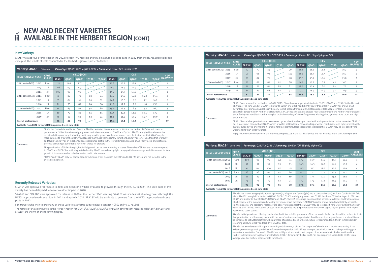#### **New Variety:**

SRA6<sup>®</sup> was approved for release at the 2022 Herbert RVC Meeting and will be available as seed cane in 2022 from the HCPSL approved seed cane plot. The results of trials conducted in the Herbert region are presented below.

| Variety: SRA6 <sup>®</sup>                                                                                                                                                                                                                                                                                                                                                                                                                                                                                                                                                                                                                                                                                                                                                                                                                                                                                                     | ON05-507       | Parentage: QN80-3425 x QH93-1197 / Summary: Lower CCS; similar TCH |                            |                    |              |                 |                   |                     |             |                                                                                                                               |                      |                 |  |
|--------------------------------------------------------------------------------------------------------------------------------------------------------------------------------------------------------------------------------------------------------------------------------------------------------------------------------------------------------------------------------------------------------------------------------------------------------------------------------------------------------------------------------------------------------------------------------------------------------------------------------------------------------------------------------------------------------------------------------------------------------------------------------------------------------------------------------------------------------------------------------------------------------------------------------|----------------|--------------------------------------------------------------------|----------------------------|--------------------|--------------|-----------------|-------------------|---------------------|-------------|-------------------------------------------------------------------------------------------------------------------------------|----------------------|-----------------|--|
| <b>TRIAL HARVEST YEAR</b>                                                                                                                                                                                                                                                                                                                                                                                                                                                                                                                                                                                                                                                                                                                                                                                                                                                                                                      | <b>CROP</b>    |                                                                    |                            | <b>YIELD (TCH)</b> |              |                 |                   |                     | <b>CCS</b>  |                                                                                                                               |                      | # OF            |  |
|                                                                                                                                                                                                                                                                                                                                                                                                                                                                                                                                                                                                                                                                                                                                                                                                                                                                                                                                | <b>CLASS</b>   | SRA6 <sup>(b)</sup>                                                | <b>Q200</b> <sup>(b)</sup> | 0208               | $*$ 0232 $@$ | $*$ 0240 $\Phi$ | SRA6 <sup>®</sup> | Q200 <sup>(b)</sup> | <b>Q208</b> | *0232 <sup>(b)</sup>                                                                                                          | *0240 <sup>(b)</sup> | <b>HARVESTS</b> |  |
| (2011 series FATs): 2012                                                                                                                                                                                                                                                                                                                                                                                                                                                                                                                                                                                                                                                                                                                                                                                                                                                                                                       | Plant          | 121                                                                | 109                        | 117                |              |                 | 15.8              | 15.9                | 15.9        |                                                                                                                               |                      | $\mathbf{1}$    |  |
| 2013                                                                                                                                                                                                                                                                                                                                                                                                                                                                                                                                                                                                                                                                                                                                                                                                                                                                                                                           | 1 <sup>R</sup> | 106                                                                | 99                         | 103                |              |                 | 16.7              | 16.9                | 17.4        |                                                                                                                               |                      | $\mathbf{1}$    |  |
| 2014                                                                                                                                                                                                                                                                                                                                                                                                                                                                                                                                                                                                                                                                                                                                                                                                                                                                                                                           | 2R             | 106                                                                | 98                         | 99                 |              |                 | 15.2              | 15.7                | 15.6        |                                                                                                                               |                      | $\mathbf{1}$    |  |
| (2013 series FATs): 2014                                                                                                                                                                                                                                                                                                                                                                                                                                                                                                                                                                                                                                                                                                                                                                                                                                                                                                       | Plant          | 76                                                                 | 80                         | 79                 | 88           | 84              | 14.7              | 15.8                | 16.0        | 14.8                                                                                                                          | 15.4                 | $\overline{2}$  |  |
| 2015                                                                                                                                                                                                                                                                                                                                                                                                                                                                                                                                                                                                                                                                                                                                                                                                                                                                                                                           | 1R             | 83                                                                 | 84                         | 91                 | 89           | 82              | 14.7              | 15.6                | 16.2        | 15.2                                                                                                                          | 16.2                 | $\overline{2}$  |  |
| 2016                                                                                                                                                                                                                                                                                                                                                                                                                                                                                                                                                                                                                                                                                                                                                                                                                                                                                                                           | 2R             | 71                                                                 | 76                         | 89                 | 84           | 80              | 11.8              | 12.9                | 13.2        | 11.8                                                                                                                          | 13.2                 | $\mathbf{1}$    |  |
| (2016 series FATs): 2017                                                                                                                                                                                                                                                                                                                                                                                                                                                                                                                                                                                                                                                                                                                                                                                                                                                                                                       | Plant          | 76                                                                 | 89                         | 82                 | 92           | 88              | 15.6              | 16.7                | 16.3        | 14.5                                                                                                                          | 16.7                 | 3               |  |
| 2018                                                                                                                                                                                                                                                                                                                                                                                                                                                                                                                                                                                                                                                                                                                                                                                                                                                                                                                           | 1 <sup>R</sup> | 80                                                                 | 79                         | 81                 | 83           | 81              | 17.4              | 17.9                | 18.0        | 16.4                                                                                                                          | 17.7                 | 3               |  |
| 2019                                                                                                                                                                                                                                                                                                                                                                                                                                                                                                                                                                                                                                                                                                                                                                                                                                                                                                                           | 2R             | 75                                                                 | 67                         | 68                 | 62           | 72              | 16.8              | 16.9                | 17.4        | 15.7                                                                                                                          | 16.9                 | 3               |  |
| <b>Overall performance</b>                                                                                                                                                                                                                                                                                                                                                                                                                                                                                                                                                                                                                                                                                                                                                                                                                                                                                                     |                | 88                                                                 | 87                         | 90                 |              |                 | 15.4              | 16.1                | 16.2        |                                                                                                                               |                      | 17              |  |
|                                                                                                                                                                                                                                                                                                                                                                                                                                                                                                                                                                                                                                                                                                                                                                                                                                                                                                                                |                |                                                                    |                            |                    |              |                 |                   |                     |             |                                                                                                                               |                      |                 |  |
| Available from 2022 through HCPSL approved seed cane plots<br>SRA6 <sup>®</sup> has limited data collected from the SRA Herbert trials. It was released in 2022 at the Herbert RVC due to its ratoon<br>performance. SRA6 <sup>®</sup> has shown slightly lower to similar cane yield to Q208 <sup>®</sup> and Q200 <sup>®</sup> . SRA6 <sup>®</sup> cane yield has shown to be<br>sustained after plant crop, indicating that it may provide growers with more ratoon crops. Indication are that SRA6 <sup>®</sup> may be<br>more suitable to grow in the district's wet zones than those with poor/dry conditions. SRA6 <sup>®</sup> has lower CCS than that of Q200 <sup>®</sup><br>and Q208 <sup>®</sup> . SRA6 <sup>®</sup> has an excellent disease resistance profile to the Herbert major diseases: smut, Pachymetra and leaf scald,<br>potentially making it a profitable variety of choice for growers.<br>Comments: |                |                                                                    |                            |                    |              |                 |                   |                     |             | The completed of CDA/Additional bookstated considered by the American to copies. The spelling of CDA/Additional change of all |                      |                 |  |

The germination of SRA6<sup>®</sup> is rapid, but initial growth can be slow. Arrowing is sparse. The stalks of SRA6<sup>®</sup> are shorter compared to Q200<sup>®</sup> and Q208<sup>®</sup> but with a high stalk density. SRA6<sup>®</sup> has a clean upright canopy with free-average trash. Because of its slow growth, it is recommended to be harvested mid to late season.

\*Q232<sup>6</sup> and \*Q240<sup>®</sup> only for comparison to individual crops classes in the 2013 and 2016 FAT series, and not included in the overall comparison.

SRA31<sup>®</sup> was approved for release in 2021 and seed cane will be available to growers through the HCPSL in 2023. The seed cane of this variety has been delayed due to wet weather impact in 2020.

SRA26<sup> $\phi$ </sup> and SRA28<sup> $\phi$ </sup> were approved for release in 2020 at the Herbert RVC Meeting. SRA26 $\phi$  was made available to growers through the HCPSL approved seed cane plots in 2021 and again in 2022. SRA28<sup>®</sup> will be available to growers from the HCPSL approved seed cane plots in 2022.

#### **Recently Released Varieties:**

that germination problems may occur with the use of mature planting material, thus the use of young seed cane is advised. It can be sensitive to hot water treatment. The purchase of approved seed or tissue culture is recommended. SRA28<sup>®</sup> exhibits similar

ratooning ability to  $Q208^\phi$  and  $Q200^\phi$  in SRA trial data. SRA28<sup>®</sup> has a moderate stalk population with good diameter, a distinctive purple leaf sheath, and is moderate trashing. It has a clean green canopy with good closure for weed competition. SRA28<sup>®</sup> has a compact stool with an erect habit providing good harvester presentation. Suckers in SRA28<sup>®</sup> are visibly obvious due to their purple colour; evaluation in the Far North and the Herbert indicates suckering levels are similar to  $Q240^{\circ}$ . Arrowing in the Far North has been reported as similar to  $Q200^{\circ}$  in an average year, but profuse in favourable conditions.

For growers who wish to order any of these varieties as tissue culture please contact HCPSL on PH: 47761808

The results of trials conducted in the Herbert region for SRA31<sup>®</sup>, SRA28<sup>®</sup>, SRA26<sup>®</sup>, along with other recent releases WSRA24<sup>®</sup>, SRA14<sup>®</sup> and  $SRA10^{\circ}$  are shown on the following pages.

## **NEW AND RECENT VARIETIES**  M **AVAILABLE IN THE HERBERT REGION (CONT)**

| Variety: SRA28 <sup>®</sup>                                | QS08-8776      |                          |                            |                            |                     |      | Parentage: Q233 <sup>6</sup> X Q135 / Summary: Similar TCH; Slightly higher CCS                                                                                                                                                                                                                                                                                                                                                                                                                                                                                                                                                                                                                                                                                                                                                                                                                                                                                                                                                                                                           |                            |                     |                     |                   |                                                                                                                                                      |
|------------------------------------------------------------|----------------|--------------------------|----------------------------|----------------------------|---------------------|------|-------------------------------------------------------------------------------------------------------------------------------------------------------------------------------------------------------------------------------------------------------------------------------------------------------------------------------------------------------------------------------------------------------------------------------------------------------------------------------------------------------------------------------------------------------------------------------------------------------------------------------------------------------------------------------------------------------------------------------------------------------------------------------------------------------------------------------------------------------------------------------------------------------------------------------------------------------------------------------------------------------------------------------------------------------------------------------------------|----------------------------|---------------------|---------------------|-------------------|------------------------------------------------------------------------------------------------------------------------------------------------------|
| <b>TRIAL HARVEST YEAR</b>                                  | <b>CROP</b>    |                          |                            | <b>YIELD (TCH)</b>         |                     |      |                                                                                                                                                                                                                                                                                                                                                                                                                                                                                                                                                                                                                                                                                                                                                                                                                                                                                                                                                                                                                                                                                           |                            | <b>CCS</b>          |                     |                   | # OF                                                                                                                                                 |
|                                                            | <b>CLASS</b>   | SRA28 <sup>th</sup>      | <b>Q200</b> <sup>(b)</sup> | <b>Q208</b> <sup>(b)</sup> | Q232 <sup>(b)</sup> | 0240 | <b>SRA28</b> <sup>(b)</sup>                                                                                                                                                                                                                                                                                                                                                                                                                                                                                                                                                                                                                                                                                                                                                                                                                                                                                                                                                                                                                                                               | <b>Q200</b> <sup>(b)</sup> | Q208 <sup>(b)</sup> | Q232 <sup>(b)</sup> | Q240 <sup>d</sup> | <b>HARVESTS</b>                                                                                                                                      |
| (2015 series FATs): 2016                                   | Plant          | 100                      | 96                         | 99                         | 108                 | 94   | 17.2                                                                                                                                                                                                                                                                                                                                                                                                                                                                                                                                                                                                                                                                                                                                                                                                                                                                                                                                                                                                                                                                                      | 16.9                       | 17.2                | 15.7                | 16.6              | 4                                                                                                                                                    |
| 2017                                                       | 1 <sup>R</sup> | 97                       | 97                         | 94                         | 99                  | 95   | 16.5                                                                                                                                                                                                                                                                                                                                                                                                                                                                                                                                                                                                                                                                                                                                                                                                                                                                                                                                                                                                                                                                                      | 16.5                       | 16.0                | 14.4                | 16.5              | 4                                                                                                                                                    |
| 2018                                                       | 2R             | 94                       | 101                        | 100                        | 97                  | 101  | 18.3                                                                                                                                                                                                                                                                                                                                                                                                                                                                                                                                                                                                                                                                                                                                                                                                                                                                                                                                                                                                                                                                                      | 18.2                       | 18.3                | 16.9                | 17.9              | 4                                                                                                                                                    |
| (2017 series FATs): 2018                                   | Plant          | 88                       | 98                         | 91                         | 97                  | 89   | 18.2                                                                                                                                                                                                                                                                                                                                                                                                                                                                                                                                                                                                                                                                                                                                                                                                                                                                                                                                                                                                                                                                                      | 17.2                       | 17.7                | 16.3                | 17.7              | 4                                                                                                                                                    |
| 2019                                                       | 1 <sup>R</sup> | 91                       | 87                         | 88                         | 88                  | 89   | 17.4                                                                                                                                                                                                                                                                                                                                                                                                                                                                                                                                                                                                                                                                                                                                                                                                                                                                                                                                                                                                                                                                                      | 17.4                       | 17.2                | 15.6                | 16.9              | 4                                                                                                                                                    |
| 2020                                                       | 2R             | 73                       | 74                         | 74                         | 82                  | 71   | 17.7                                                                                                                                                                                                                                                                                                                                                                                                                                                                                                                                                                                                                                                                                                                                                                                                                                                                                                                                                                                                                                                                                      | 17.3                       | 17.6                | 16.5                | 17.4              | 4                                                                                                                                                    |
| <b>Overall performance</b>                                 |                | 90                       | 92                         | 91                         | 95                  | 90   | 17.6                                                                                                                                                                                                                                                                                                                                                                                                                                                                                                                                                                                                                                                                                                                                                                                                                                                                                                                                                                                                                                                                                      | 17.3                       | 17.3                | 15.9                | 17.2              | 24                                                                                                                                                   |
| Available from 2022 through HCPSL approved seed cane plots |                |                          |                            |                            |                     |      |                                                                                                                                                                                                                                                                                                                                                                                                                                                                                                                                                                                                                                                                                                                                                                                                                                                                                                                                                                                                                                                                                           |                            |                     |                     |                   |                                                                                                                                                      |
|                                                            |                | Pachymetra spore counts. |                            |                            |                     |      | SRA28 <sup>®</sup> has shown a sugar yield advantage over Q232 <sup>®</sup> (5%) and Q240 <sup>®</sup> (3%) and is comparable to Q200 <sup>®</sup> and Q208 <sup>®</sup> in SRA field<br>trials. SRA28 <sup>®</sup> cane yield is similar to Q200 <sup>®</sup> , Q208 <sup>®</sup> , Q240 <sup>®</sup> and slightly lower than Q232 <sup>®</sup> , but has a CCS advantage of 10% over<br>$Q$ 232 <sup><math>\phi</math></sup> and similar to that of Q200 <sup><math>\phi</math></sup> , Q208 <sup><math>\phi</math></sup> and Q240 <sup><math>\phi</math></sup> . The CCS advantage was consistent across crop classes and trial locations<br>which represent the main soils and growing environments of the Herbert. SRA28 <sup>®</sup> has also shown broad adaptability across the<br>Northern coastal and Tableland regions. Field observations suggest that SRA28 <sup>®</sup> may be less sensitive to waterlogging than other<br>varieties. SRA28 <sup>®</sup> has an excellent disease resistance profile and is a profitable variety choice especially for growers with higher |                            |                     |                     |                   |                                                                                                                                                      |
| Comments:                                                  |                |                          |                            |                            |                     |      | rich completed collections and contribute the contribution of contributions of the rich of the contributions of the distribution of the                                                                                                                                                                                                                                                                                                                                                                                                                                                                                                                                                                                                                                                                                                                                                                                                                                                                                                                                                   |                            |                     |                     |                   | SRA28 <sup>®</sup> initial growth and tillering can be slow, but it is a reliable germinator. Observations in the Far North and the Herbert indicate |

| Variety: SRA31 <sup>®</sup>                                | QC05-1281      | Parentage: QS87-7427 X QC82-954 / Summary: Similar TCH; Slightly higher CCS |             |                    |        |                         |                                    |                            |                    |                                                                                                                                                                                                                                                                                                                                                                                                                                                                                                                                                                                                                                                                                                                                                                                                                                                                                                                                                                                                  |                         |                                                                                                                                                                                                                                                                                                                     |
|------------------------------------------------------------|----------------|-----------------------------------------------------------------------------|-------------|--------------------|--------|-------------------------|------------------------------------|----------------------------|--------------------|--------------------------------------------------------------------------------------------------------------------------------------------------------------------------------------------------------------------------------------------------------------------------------------------------------------------------------------------------------------------------------------------------------------------------------------------------------------------------------------------------------------------------------------------------------------------------------------------------------------------------------------------------------------------------------------------------------------------------------------------------------------------------------------------------------------------------------------------------------------------------------------------------------------------------------------------------------------------------------------------------|-------------------------|---------------------------------------------------------------------------------------------------------------------------------------------------------------------------------------------------------------------------------------------------------------------------------------------------------------------|
| <b>TRIAL HARVEST YEAR</b>                                  | <b>CROP</b>    |                                                                             |             | <b>YIELD (TCH)</b> |        |                         |                                    |                            | <b>CCS</b>         |                                                                                                                                                                                                                                                                                                                                                                                                                                                                                                                                                                                                                                                                                                                                                                                                                                                                                                                                                                                                  |                         | # OF                                                                                                                                                                                                                                                                                                                |
|                                                            | <b>CLASS</b>   | <b>SRA31</b> <sup><i>b</i></sup>                                            | <b>Q200</b> | <b>Q208</b>        | *0232@ | <b>Q240</b> <sup></sup> | <b>SRA31</b> <sup><i>(b)</i></sup> | <b>Q200</b> <sup>(b)</sup> | Q208 <sup>th</sup> | *0232 <sup>(b)</sup>                                                                                                                                                                                                                                                                                                                                                                                                                                                                                                                                                                                                                                                                                                                                                                                                                                                                                                                                                                             | <b>Q240</b> <sup></sup> | <b>HARVESTS</b>                                                                                                                                                                                                                                                                                                     |
| (2014 series FATs): 2015                                   | Plant          | 77                                                                          | 70          | 83                 |        | 70                      | 16.8                               | 16.1                       | 16.2               |                                                                                                                                                                                                                                                                                                                                                                                                                                                                                                                                                                                                                                                                                                                                                                                                                                                                                                                                                                                                  | 16.3                    | 3                                                                                                                                                                                                                                                                                                                   |
| 2016                                                       | 1 <sup>R</sup> | 99                                                                          | 98          | 98                 |        | 105                     | 16.3                               | 16.7                       | 16.7               |                                                                                                                                                                                                                                                                                                                                                                                                                                                                                                                                                                                                                                                                                                                                                                                                                                                                                                                                                                                                  | 16.3                    | 3                                                                                                                                                                                                                                                                                                                   |
| 2017                                                       | 2R             | 79                                                                          | 82          | 78                 |        | 88                      | 15.3                               | 15.9                       | 15.6               |                                                                                                                                                                                                                                                                                                                                                                                                                                                                                                                                                                                                                                                                                                                                                                                                                                                                                                                                                                                                  | 15.8                    | 3                                                                                                                                                                                                                                                                                                                   |
| (2016 series FATs):<br>2017                                | Plant          | 93                                                                          | 89          | 82                 | 92     | 88                      | 16.9                               | 16.7                       | 16.3               | 14.5                                                                                                                                                                                                                                                                                                                                                                                                                                                                                                                                                                                                                                                                                                                                                                                                                                                                                                                                                                                             | 16.7                    | 3                                                                                                                                                                                                                                                                                                                   |
| 2018                                                       | 1 <sup>R</sup> | 79                                                                          | 79          | 81                 | 83     | 81                      | 18.5                               | 17.9                       | 18.0               | 16.4                                                                                                                                                                                                                                                                                                                                                                                                                                                                                                                                                                                                                                                                                                                                                                                                                                                                                                                                                                                             | 17.7                    | 3                                                                                                                                                                                                                                                                                                                   |
| 2019                                                       | 2R             | 64                                                                          | 67          | 68                 | 62     | 72                      | 17.0                               | 16.9                       | 17.4               | 15.7                                                                                                                                                                                                                                                                                                                                                                                                                                                                                                                                                                                                                                                                                                                                                                                                                                                                                                                                                                                             | 16.9                    | 3                                                                                                                                                                                                                                                                                                                   |
| <b>Overall performance</b>                                 |                | 82                                                                          | 81          | 81                 |        | 84                      | 16.8                               | 16.7                       | 16.7               |                                                                                                                                                                                                                                                                                                                                                                                                                                                                                                                                                                                                                                                                                                                                                                                                                                                                                                                                                                                                  | 16.6                    | 18                                                                                                                                                                                                                                                                                                                  |
| Available from 2023 through HCPSL approved seed cane plots |                |                                                                             |             |                    |        |                         |                                    |                            |                    |                                                                                                                                                                                                                                                                                                                                                                                                                                                                                                                                                                                                                                                                                                                                                                                                                                                                                                                                                                                                  |                         |                                                                                                                                                                                                                                                                                                                     |
| Comments:                                                  | smut pressure. | waterlogging than other varieties.                                          |             |                    |        |                         |                                    |                            |                    | SRA31 <sup>®</sup> was released in the Herbert in 2021. SRA31 <sup>®</sup> has shown a sugar yield similar to Q200 <sup>®</sup> , Q208 <sup>®</sup> and Q240 <sup>®</sup> in the Herbert<br>SRA trials. The cane yield of SRA31 <sup>®</sup> is similar to Q200 <sup>®</sup> and Q208 <sup>®</sup> and slightly lower than Q240 <sup>®</sup> . SRA31 <sup>®</sup> has shown a CCS<br>advantage over standards varieties in the early to mid-season from plant and ratoon crops (data not presented), which was<br>smut, Pachymetra and leaf scald, making it a profitable variety of choice for growers with high Pachymetra spore count and high<br>SRA31 <sup><math>\phi</math></sup> is a reliable germinator and has an erect growth habit and an open stool with a fair presentation to the harvester. SRA31 <sup><math>\phi</math></sup><br>slightly bulged eyes, and making it suitable for billet planting. Field observation indicates that SRA31 <sup>6</sup> may be less sensitive to |                         | consistent across the SRA Herbert trial locations. SRA31 <sup>®</sup> has an excellent disease resistance profile to the Herbert major diseases:<br>has a more erect canopy than Q200 <sup><math>\phi</math></sup> , which provides better closure for controlling of weeds. Trash is average-tight, protecting the |

\*Q232<sup>A</sup> is only for comparison to the individual crop classes in the 2016 FAT series and not included in the overall comparison.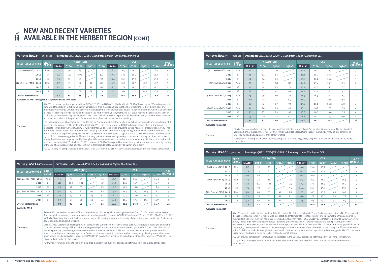| Variety: WSRA24 <sup>th</sup> QA05-2486 |              | <b>Parentage:</b> QN80-3425 X BN61-1123 / Summary: Higher TCH; lower CCS                                                                                                                                                                                                                                                                                                                                                                                                                                                                                                                                                                                                                                                                                                                                                                                                                                                                                                                                                                                                                                                                                                                                                                                                                                                                                                                                                  |             |                     |                      |                         |                      |                    |                    |                      |             |                                                                                                                                                          |
|-----------------------------------------|--------------|---------------------------------------------------------------------------------------------------------------------------------------------------------------------------------------------------------------------------------------------------------------------------------------------------------------------------------------------------------------------------------------------------------------------------------------------------------------------------------------------------------------------------------------------------------------------------------------------------------------------------------------------------------------------------------------------------------------------------------------------------------------------------------------------------------------------------------------------------------------------------------------------------------------------------------------------------------------------------------------------------------------------------------------------------------------------------------------------------------------------------------------------------------------------------------------------------------------------------------------------------------------------------------------------------------------------------------------------------------------------------------------------------------------------------|-------------|---------------------|----------------------|-------------------------|----------------------|--------------------|--------------------|----------------------|-------------|----------------------------------------------------------------------------------------------------------------------------------------------------------|
| <b>TRIAL HARVEST YEAR</b>               | <b>CROP</b>  |                                                                                                                                                                                                                                                                                                                                                                                                                                                                                                                                                                                                                                                                                                                                                                                                                                                                                                                                                                                                                                                                                                                                                                                                                                                                                                                                                                                                                           |             | <b>YIELD (TCH)</b>  |                      |                         |                      |                    | <b>CCS</b>         |                      |             | # OF                                                                                                                                                     |
|                                         | <b>CLASS</b> | WSRA24 <sup>th</sup>                                                                                                                                                                                                                                                                                                                                                                                                                                                                                                                                                                                                                                                                                                                                                                                                                                                                                                                                                                                                                                                                                                                                                                                                                                                                                                                                                                                                      | <b>Q200</b> | Q208 <sup>(b)</sup> | *0232 <sup>(b)</sup> | <b>Q240</b> <sup></sup> | WSRA24 <sup>th</sup> | Q200 <sup>th</sup> | Q208 <sup>th</sup> | *0232 <sup>(b)</sup> | <b>Q240</b> | <b>HARVESTS</b>                                                                                                                                          |
| (2014 series FATs): 2015                | Plant        | 96                                                                                                                                                                                                                                                                                                                                                                                                                                                                                                                                                                                                                                                                                                                                                                                                                                                                                                                                                                                                                                                                                                                                                                                                                                                                                                                                                                                                                        | 79          | 89                  |                      | 76                      | 14.7                 | 16.3               | 16.2               |                      | 16.3        | 4                                                                                                                                                        |
| 2016                                    | 1R           | 116                                                                                                                                                                                                                                                                                                                                                                                                                                                                                                                                                                                                                                                                                                                                                                                                                                                                                                                                                                                                                                                                                                                                                                                                                                                                                                                                                                                                                       | 102         | 101                 |                      | 103                     | 15.9                 | 17.0               | 16.9               |                      | 16.7        | 4                                                                                                                                                        |
| 2017                                    | 2R           | 98                                                                                                                                                                                                                                                                                                                                                                                                                                                                                                                                                                                                                                                                                                                                                                                                                                                                                                                                                                                                                                                                                                                                                                                                                                                                                                                                                                                                                        | 92          | 87                  |                      | 93                      | 14.8                 | 16.1               | 15.8               |                      | 15.9        | 4                                                                                                                                                        |
| (2016 series FATs): 2017                | Plant        | 92                                                                                                                                                                                                                                                                                                                                                                                                                                                                                                                                                                                                                                                                                                                                                                                                                                                                                                                                                                                                                                                                                                                                                                                                                                                                                                                                                                                                                        | 89          | 82                  | 92                   | 88                      | 15.2                 | 16.7               | 16.3               | 14.5                 | 16.7        | 3                                                                                                                                                        |
| 2018                                    | 1R           | 79                                                                                                                                                                                                                                                                                                                                                                                                                                                                                                                                                                                                                                                                                                                                                                                                                                                                                                                                                                                                                                                                                                                                                                                                                                                                                                                                                                                                                        | 79          | 81                  | 83                   | 81                      | 16.0                 | 17.9               | 18.0               | 16.4                 | 17.7        | 3                                                                                                                                                        |
| 2019                                    | 2R           | 60                                                                                                                                                                                                                                                                                                                                                                                                                                                                                                                                                                                                                                                                                                                                                                                                                                                                                                                                                                                                                                                                                                                                                                                                                                                                                                                                                                                                                        | 67          | 68                  | 62                   | 72                      | 15.8                 | 16.9               | 17.4               | 15.7                 | 16.9        | 3                                                                                                                                                        |
| <b>Overall performance</b>              |              | 90                                                                                                                                                                                                                                                                                                                                                                                                                                                                                                                                                                                                                                                                                                                                                                                                                                                                                                                                                                                                                                                                                                                                                                                                                                                                                                                                                                                                                        | 85          | 85                  |                      | 86                      | 15.4                 | 16.8               | 16.8               |                      | 16.7        | 21                                                                                                                                                       |
| Available 2020                          |              |                                                                                                                                                                                                                                                                                                                                                                                                                                                                                                                                                                                                                                                                                                                                                                                                                                                                                                                                                                                                                                                                                                                                                                                                                                                                                                                                                                                                                           |             |                     |                      |                         |                      |                    |                    |                      |             |                                                                                                                                                          |
| Comments:                               |              | Released in the Herbert in 2019, WSRA24 <sup><math>\phi</math></sup> has shown a 6% cane yield advantage over Q200 <sup><math>\phi</math></sup> and Q208 $\phi$ , and 5% over Q240 $\phi$ .<br>The cane yield advantage is more noticeable in plant crop and first ratoon. WSRA24 <sup><math>\phi</math></sup> has lower CCS than Q200 <sup><math>\phi</math></sup> , Q208 <sup><math>\phi</math></sup> and Q240 <sup><math>\phi</math></sup> .<br>WSRA24 <sup>®</sup> is resistant to smut, Pachymetra, and leaf scald, making it a profitable variety of choice for growers with high Pachymetra<br>spore count and high smut pressure.<br>WSRA24 <sup>®</sup> is a vigorous and fast germinator compared to current commercial varieties. WSRA24 <sup>®</sup> has less tendency to arrow and<br>is moderate in suckering. WSRA24 <sup>®</sup> has a average stalk population at maturity and an erect growth habit. The stalks of WSRA24 <sup>®</sup><br>are pale green, tall, and heavy, with an exceptional thick barrel diameter. WSRA24 <sup>®</sup> has a clean canopy with good closure for<br>weed competition and free-average trash. Due to its prominent eyes, it is recommended to use young planting material for even<br>harvested mid to late in the season.<br>*Q232 <sup>®</sup> only for comparison to the individual crop classes in the 2016 FAT series and not included in the overall comparison. |             |                     |                      |                         |                      |                    |                    |                      |             | germination. Field observations suggest that WSRA24 <sup>®</sup> may be less sensitive to waterlogging than other varieties. WSRA24 <sup>®</sup> is best |

| Variety: SRA26 <sup>®</sup>                              | ON08-2282      |                                                                                                                                                                                                                                                                                                                                                                                                                                                                                                                                                                                                                                                                                                                                                                                                                                                                                                                                                                                                                                                                                                                                                                                                                                                                                                                                                                                                                                                                                                                                                                                                                                                                                                                                                                                                                                                                                                                 |                          |                    | Parentage: QN97-2122 x Q146 / Summary: Similar TCH; slightly higher CCS |                         |                    |                            |                     |                                                                                                                                                                                                                                                                                                                                                 |                                        |                                                                                                                                              |
|----------------------------------------------------------|----------------|-----------------------------------------------------------------------------------------------------------------------------------------------------------------------------------------------------------------------------------------------------------------------------------------------------------------------------------------------------------------------------------------------------------------------------------------------------------------------------------------------------------------------------------------------------------------------------------------------------------------------------------------------------------------------------------------------------------------------------------------------------------------------------------------------------------------------------------------------------------------------------------------------------------------------------------------------------------------------------------------------------------------------------------------------------------------------------------------------------------------------------------------------------------------------------------------------------------------------------------------------------------------------------------------------------------------------------------------------------------------------------------------------------------------------------------------------------------------------------------------------------------------------------------------------------------------------------------------------------------------------------------------------------------------------------------------------------------------------------------------------------------------------------------------------------------------------------------------------------------------------------------------------------------------|--------------------------|--------------------|-------------------------------------------------------------------------|-------------------------|--------------------|----------------------------|---------------------|-------------------------------------------------------------------------------------------------------------------------------------------------------------------------------------------------------------------------------------------------------------------------------------------------------------------------------------------------|----------------------------------------|----------------------------------------------------------------------------------------------------------------------------------------------|
|                                                          | <b>CROP</b>    |                                                                                                                                                                                                                                                                                                                                                                                                                                                                                                                                                                                                                                                                                                                                                                                                                                                                                                                                                                                                                                                                                                                                                                                                                                                                                                                                                                                                                                                                                                                                                                                                                                                                                                                                                                                                                                                                                                                 |                          | <b>YIELD (TCH)</b> |                                                                         |                         |                    |                            | <b>CCS</b>          |                                                                                                                                                                                                                                                                                                                                                 |                                        | # OF                                                                                                                                         |
| <b>TRIAL HARVEST YEAR</b>                                | <b>CLASS</b>   | <b>SRA26</b> <sup>(b)</sup>                                                                                                                                                                                                                                                                                                                                                                                                                                                                                                                                                                                                                                                                                                                                                                                                                                                                                                                                                                                                                                                                                                                                                                                                                                                                                                                                                                                                                                                                                                                                                                                                                                                                                                                                                                                                                                                                                     | <b>Q200</b> <sup>d</sup> | <b>O208</b>        | *0232 <sup>@</sup>                                                      | <b>Q240</b> <sup></sup> | SRA26 <sup>®</sup> | <b>O200</b> <sup>(b)</sup> | Q208 <sup>(b)</sup> | *0232 <sup>(b)</sup>                                                                                                                                                                                                                                                                                                                            | $Q240$ <sup><math>\dagger</math></sup> | <b>HARVESTS</b>                                                                                                                              |
| (2014 series FATs): 2015                                 | Plant          | 77                                                                                                                                                                                                                                                                                                                                                                                                                                                                                                                                                                                                                                                                                                                                                                                                                                                                                                                                                                                                                                                                                                                                                                                                                                                                                                                                                                                                                                                                                                                                                                                                                                                                                                                                                                                                                                                                                                              | 79                       | 89                 |                                                                         | 76                      | 16.7               | 16.3                       | 16.2                |                                                                                                                                                                                                                                                                                                                                                 | 16.3                                   | 4                                                                                                                                            |
| 2016                                                     | 1 <sup>R</sup> | 101                                                                                                                                                                                                                                                                                                                                                                                                                                                                                                                                                                                                                                                                                                                                                                                                                                                                                                                                                                                                                                                                                                                                                                                                                                                                                                                                                                                                                                                                                                                                                                                                                                                                                                                                                                                                                                                                                                             | 102                      | 101                |                                                                         | 103                     | 17.4               | 17.0                       | 16.9                |                                                                                                                                                                                                                                                                                                                                                 | 16.7                                   | 4                                                                                                                                            |
| 2017                                                     | 2R             | 90                                                                                                                                                                                                                                                                                                                                                                                                                                                                                                                                                                                                                                                                                                                                                                                                                                                                                                                                                                                                                                                                                                                                                                                                                                                                                                                                                                                                                                                                                                                                                                                                                                                                                                                                                                                                                                                                                                              | 92                       | 87                 |                                                                         | 93                      | 15.6               | 16.1                       | 15.8                |                                                                                                                                                                                                                                                                                                                                                 | 15.9                                   | 4                                                                                                                                            |
| (2016 series FATs): 2017                                 | Plant          | 87                                                                                                                                                                                                                                                                                                                                                                                                                                                                                                                                                                                                                                                                                                                                                                                                                                                                                                                                                                                                                                                                                                                                                                                                                                                                                                                                                                                                                                                                                                                                                                                                                                                                                                                                                                                                                                                                                                              | 89                       | 82                 | 92                                                                      | 88                      | 16.7               | 16.7                       | 16.3                | 14.5                                                                                                                                                                                                                                                                                                                                            | 16.7                                   | 3                                                                                                                                            |
| 2018                                                     | 1R             | 81                                                                                                                                                                                                                                                                                                                                                                                                                                                                                                                                                                                                                                                                                                                                                                                                                                                                                                                                                                                                                                                                                                                                                                                                                                                                                                                                                                                                                                                                                                                                                                                                                                                                                                                                                                                                                                                                                                              | 79                       | 81                 | 83                                                                      | 81                      | 18.1               | 17.9                       | 18.0                | 16.4                                                                                                                                                                                                                                                                                                                                            | 17.7                                   | 3                                                                                                                                            |
| 2019                                                     | 2R             | 71                                                                                                                                                                                                                                                                                                                                                                                                                                                                                                                                                                                                                                                                                                                                                                                                                                                                                                                                                                                                                                                                                                                                                                                                                                                                                                                                                                                                                                                                                                                                                                                                                                                                                                                                                                                                                                                                                                              | 67                       | 68                 | 62                                                                      | 72                      | 17.3               | 16.9                       | 17.4                | 15.7                                                                                                                                                                                                                                                                                                                                            | 16.9                                   | 3                                                                                                                                            |
| <b>Overall performance</b>                               |                | 85                                                                                                                                                                                                                                                                                                                                                                                                                                                                                                                                                                                                                                                                                                                                                                                                                                                                                                                                                                                                                                                                                                                                                                                                                                                                                                                                                                                                                                                                                                                                                                                                                                                                                                                                                                                                                                                                                                              | 85                       | 85                 |                                                                         | 86                      | 17                 | 16.8                       | 16.8                |                                                                                                                                                                                                                                                                                                                                                 | 16.7                                   | 21                                                                                                                                           |
| Available in 2022 through HCPSL approved seed cane plots |                |                                                                                                                                                                                                                                                                                                                                                                                                                                                                                                                                                                                                                                                                                                                                                                                                                                                                                                                                                                                                                                                                                                                                                                                                                                                                                                                                                                                                                                                                                                                                                                                                                                                                                                                                                                                                                                                                                                                 |                          |                    |                                                                         |                         |                    |                            |                     |                                                                                                                                                                                                                                                                                                                                                 |                                        |                                                                                                                                              |
|                                                          |                |                                                                                                                                                                                                                                                                                                                                                                                                                                                                                                                                                                                                                                                                                                                                                                                                                                                                                                                                                                                                                                                                                                                                                                                                                                                                                                                                                                                                                                                                                                                                                                                                                                                                                                                                                                                                                                                                                                                 |                          |                    |                                                                         |                         |                    |                            |                     | SRA26 <sup>®</sup> has shown similar sugar yield than Q200 <sup>®</sup> , Q208 <sup>®</sup> and Q240 <sup>®</sup> in SRA field trials. SRA26 <sup>®</sup> has a higher CCS and equivalent<br>cane yield than Q240 <sup>+</sup> , Q208A and Q200 <sup>+</sup> across most crop classes and trial locations representing Herbert's main soils and |                                        | growing environments. Limited field observations suggest that well-drained soils favour its development. SRA26 <sup>®</sup> has an excellent |
| Comments:                                                |                | disease resistance profile to the major diseases in the Herbert: smut, Pachymetra and leaf scald, making it a profitable variety of<br>choice for growers with a high Pachymetra spore count. SRA26 <sup>®</sup> is a reliable germinator. However, slow growth has been observed<br>in the wetter pockets of the paddock. Be aware of its profuse hairs when manual handling it.<br>The following features have been described in the Far North: a semi-prostrate early growth habit, often up to and including at fill-in<br>stage, has been reported. The vield potential of SRA26 <sup>®</sup> is not typically affected if tiller damage occurs when filling-in as it is a<br>moderate to high tillering variety. SRA26 <sup>®</sup> will straighten up to stand erect, providing a good harvester presentation. SRA26 <sup>®</sup> has<br>internodes of even length and protected eyes, making it an ideal variety for billet planting. Preliminary experimental results and<br>initial commercial experience suggest SRA26 <sup>®</sup> has RSD sensitivity similar to Q253 <sup>®</sup> . Chlorotic streak disease have been observed<br>by HCPSL in clay waterlogged soils. SRA26 <sup>®</sup> is a very sparse or non-arrowing variety, is moderate trashing and does not sucker<br>readily. It will continue to grow steadily throughout the autumn and winter months, and we recommend it is harvested mid-to-late<br>season to maximise its CCS, similar to Q200 <sup>®</sup> . However, if SRA26 <sup>®</sup> is targeted for harvest early in the season, then maturity testing<br>or the use of crop ripeners are advised. SRA26 <sup>®</sup> exhibits similar ratooning ability to Q200 <sup>®</sup> and Q208 <sup>®</sup> .<br>*Q232 <sup><math>\phi</math></sup> is only for comparison to the individual crop classes in the 2016 FAT series and is not included in the overall comparison. |                          |                    |                                                                         |                         |                    |                            |                     |                                                                                                                                                                                                                                                                                                                                                 |                                        |                                                                                                                                              |

## **NEW AND RECENT VARIETIES AVAILABLE IN THE HERBERT REGION (CONT)**

| Variety: SRA10 <sup>®</sup> | ON06-807       |                                                                                                                                                                                                                                                                                                                                                                                                                                                                                                                                                                                                                                                                                                                                                                                                                                                                                                                                                                                                                                                                                                                                                                                                                                                       |                         |                    |                      |                    | Parentage: QN92-157 X QN91-3898 / Summary: Lower TCH; higher CCS |                   |             |                      |        |                                                                                                                                                         |
|-----------------------------|----------------|-------------------------------------------------------------------------------------------------------------------------------------------------------------------------------------------------------------------------------------------------------------------------------------------------------------------------------------------------------------------------------------------------------------------------------------------------------------------------------------------------------------------------------------------------------------------------------------------------------------------------------------------------------------------------------------------------------------------------------------------------------------------------------------------------------------------------------------------------------------------------------------------------------------------------------------------------------------------------------------------------------------------------------------------------------------------------------------------------------------------------------------------------------------------------------------------------------------------------------------------------------|-------------------------|--------------------|----------------------|--------------------|------------------------------------------------------------------|-------------------|-------------|----------------------|--------|---------------------------------------------------------------------------------------------------------------------------------------------------------|
| <b>TRIAL HARVEST YEAR</b>   | <b>CROP</b>    |                                                                                                                                                                                                                                                                                                                                                                                                                                                                                                                                                                                                                                                                                                                                                                                                                                                                                                                                                                                                                                                                                                                                                                                                                                                       |                         | <b>YIELD (TCH)</b> |                      |                    |                                                                  |                   | <b>CCS</b>  |                      |        | # OF                                                                                                                                                    |
|                             | <b>CLASS</b>   | <b>SRA10</b> <sup>®</sup>                                                                                                                                                                                                                                                                                                                                                                                                                                                                                                                                                                                                                                                                                                                                                                                                                                                                                                                                                                                                                                                                                                                                                                                                                             | <b>O200</b> <sup></sup> | 0208               | *0232 <sup>(b)</sup> | *0240 <sup>®</sup> | <b>SRA10</b> <sup><math>\Phi</math></sup>                        | Q200 <sup>®</sup> | <b>Q208</b> | *0232 <sup>(b)</sup> | *Q2404 | <b>HARVESTS</b>                                                                                                                                         |
| (2012 series FATs): 2013    | Plant          | 88                                                                                                                                                                                                                                                                                                                                                                                                                                                                                                                                                                                                                                                                                                                                                                                                                                                                                                                                                                                                                                                                                                                                                                                                                                                    | 90                      | 97                 |                      |                    | 16.4                                                             | 15.4              | 15.7        |                      |        | 4                                                                                                                                                       |
| 2014                        | 1R             | 73                                                                                                                                                                                                                                                                                                                                                                                                                                                                                                                                                                                                                                                                                                                                                                                                                                                                                                                                                                                                                                                                                                                                                                                                                                                    | 72                      | 83                 |                      |                    | 16.2                                                             | 15.6              | 16.1        |                      |        | 4                                                                                                                                                       |
| 2015                        | 2R             | 83                                                                                                                                                                                                                                                                                                                                                                                                                                                                                                                                                                                                                                                                                                                                                                                                                                                                                                                                                                                                                                                                                                                                                                                                                                                    | 88                      | 97                 |                      |                    | 16.4                                                             | 16.0              | 16.4        |                      |        | 4                                                                                                                                                       |
| (2014 series FATs): 2015    | Plant          | 73                                                                                                                                                                                                                                                                                                                                                                                                                                                                                                                                                                                                                                                                                                                                                                                                                                                                                                                                                                                                                                                                                                                                                                                                                                                    | 79                      | 89                 |                      | 76                 | 16.3                                                             | 16.3              | 16.2        |                      | 16.3   | 4                                                                                                                                                       |
| 2016                        | 1R             | 89                                                                                                                                                                                                                                                                                                                                                                                                                                                                                                                                                                                                                                                                                                                                                                                                                                                                                                                                                                                                                                                                                                                                                                                                                                                    | 102                     | 101                |                      | 103                | 17.3                                                             | 17.0              | 16.9        |                      | 16.7   | 4                                                                                                                                                       |
| 2017                        | 2R             | 74                                                                                                                                                                                                                                                                                                                                                                                                                                                                                                                                                                                                                                                                                                                                                                                                                                                                                                                                                                                                                                                                                                                                                                                                                                                    | 92                      | 87                 |                      | 93                 | 16.4                                                             | 16.1              | 15.8        |                      | 15.9   | 4                                                                                                                                                       |
| (2016 series FATs): 2017    | Plant          | 84                                                                                                                                                                                                                                                                                                                                                                                                                                                                                                                                                                                                                                                                                                                                                                                                                                                                                                                                                                                                                                                                                                                                                                                                                                                    | 89                      | 82                 | 92                   | 88                 | 17.5                                                             | 16.7              | 16.3        | 14.5                 | 16.7   | 3                                                                                                                                                       |
| 2018                        | 1 <sup>R</sup> | 72                                                                                                                                                                                                                                                                                                                                                                                                                                                                                                                                                                                                                                                                                                                                                                                                                                                                                                                                                                                                                                                                                                                                                                                                                                                    | 79                      | 81                 | 83                   | 81                 | 18.8                                                             | 17.9              | 18.0        | 16.4                 | 17.7   | 3                                                                                                                                                       |
| 2019                        | 2R             | 59                                                                                                                                                                                                                                                                                                                                                                                                                                                                                                                                                                                                                                                                                                                                                                                                                                                                                                                                                                                                                                                                                                                                                                                                                                                    | 67                      | 68                 | 62                   | 72                 | 17.5                                                             | 16.9              | 17.4        | 15.7                 | 16.9   | 3                                                                                                                                                       |
| <b>Overall performance</b>  |                | 77                                                                                                                                                                                                                                                                                                                                                                                                                                                                                                                                                                                                                                                                                                                                                                                                                                                                                                                                                                                                                                                                                                                                                                                                                                                    | 84                      | 87                 |                      |                    | 17                                                               | 16.4              | 16.5        |                      |        | 33                                                                                                                                                      |
| <b>Available since 2019</b> |                |                                                                                                                                                                                                                                                                                                                                                                                                                                                                                                                                                                                                                                                                                                                                                                                                                                                                                                                                                                                                                                                                                                                                                                                                                                                       |                         |                    |                      |                    |                                                                  |                   |             |                      |        |                                                                                                                                                         |
| Comments:                   | comparison.    | disease resistance profile: it is resistant to leaf scald, and intermediate resistant to smut and Pachymetra. When compared to<br>the standard varieties, SRA10 <sup>®</sup> has lower yields and consistently higher CCS. SRA10 <sup>®</sup> germination is similar to Q200 <sup>®</sup> . Arrowing<br>is very sparse in SRA10 <sup>®</sup> and has moderate suckering. SRA10 <sup>®</sup> has an erect growth habit with a good presentation to the<br>harvester and a close stool, and slim stalks with average stalk population at maturity. SRA10 <sup>®</sup> has an erect canopy, which can be<br>challenging to compete with weeds in the early stages of development or when planted in broad row space. SRA10 <sup>®</sup> is suitable<br>either for billet or stick planters, given its medium-loose trash and small-medium eyes. Limited data suggests SRA10 <sup>®</sup> is an early<br>sugar variety and would be better to harvest early to mid-season.<br>*Q232 <sup>®</sup> only for comparison to individual crops classes in the 2016 FAT series and not included in the overall comparison.<br>*Q240 <sup>®</sup> only for comparison to individual crop classes in the 2014 and 2016 FAT series, and not included in the overall |                         |                    |                      |                    |                                                                  |                   |             |                      |        | SRA10 <sup>®</sup> was released in the Far North and the Herbert in 2018 due to its high CCS and Early sugar potential. SRA10 <sup>®</sup> has a modest |

| Variety: SRA14 <sup>th</sup> | OC02-402       |                                  |                                          |                                                      | <b>Parentage: QN91-295 X Q200<sup>th</sup> / Summary: Lower TCH; similar CCS</b>                                                                                                                                                                                                                                                                                                                                                      |                                  |                            |                            |                    |                 |
|------------------------------|----------------|----------------------------------|------------------------------------------|------------------------------------------------------|---------------------------------------------------------------------------------------------------------------------------------------------------------------------------------------------------------------------------------------------------------------------------------------------------------------------------------------------------------------------------------------------------------------------------------------|----------------------------------|----------------------------|----------------------------|--------------------|-----------------|
| <b>TRIAL HARVEST YEAR</b>    | <b>CROP</b>    |                                  |                                          | <b>YIELD (TCH)</b>                                   |                                                                                                                                                                                                                                                                                                                                                                                                                                       |                                  |                            | <b>CCS</b>                 |                    | # OF            |
|                              | <b>CLASS</b>   | <b>SRA14</b> <sup><i>b</i></sup> | <b>O200</b> <sup><math>\Phi</math></sup> | 0208                                                 | *Q240 <sup>®</sup>                                                                                                                                                                                                                                                                                                                                                                                                                    | <b>SRA14</b> <sup><i>b</i></sup> | <b>O200</b> <sup>(b)</sup> | <b>O208</b> <sup>(b)</sup> | *0240 <sup>®</sup> | <b>HARVESTS</b> |
| (2011 series FATs): 2012     | Plant          | 74                               | 67                                       | 70                                                   |                                                                                                                                                                                                                                                                                                                                                                                                                                       | 16.2                             | 16.2                       | 16.3                       |                    | 3               |
| 2013                         | 1R             | 65                               | 64                                       | 66                                                   |                                                                                                                                                                                                                                                                                                                                                                                                                                       | 16.8                             | 16.7                       | 16.8                       |                    | 3               |
| 2014                         | 2R             | 62                               | 64                                       | 65                                                   |                                                                                                                                                                                                                                                                                                                                                                                                                                       | 15.8                             | 16.2                       | 16.6                       |                    | 3               |
| (2013 series FATs): 2014     | Plant          | 78                               | 85                                       | 88                                                   | 80                                                                                                                                                                                                                                                                                                                                                                                                                                    | 14.9                             | 15.4                       | 15.1                       | 15.1               | $\overline{2}$  |
| 2015                         | 1R             | 72                               | 74                                       | 83                                                   | 71                                                                                                                                                                                                                                                                                                                                                                                                                                    | 16.1                             | 15.5                       | 16.2                       | 16.7               | 2               |
| 2016                         | 2R             | 78                               | 82                                       | 91                                                   | 83                                                                                                                                                                                                                                                                                                                                                                                                                                    | 13.5                             | 13.9                       | 14.1                       | 14.1               | $\overline{2}$  |
| (2014 series FATs): 2015     | Plant          | 75                               | 79                                       | 89                                                   | 76                                                                                                                                                                                                                                                                                                                                                                                                                                    | 16.3                             | 16.3                       | 16.2                       | 16.3               | 4               |
| 2016                         | 1R             | 101                              | 102                                      | 101                                                  | 103                                                                                                                                                                                                                                                                                                                                                                                                                                   | 16.9                             | 17.0                       | 16.9                       | 16.7               | 4               |
| 2017                         | 2R             | 90                               | 92                                       | 87                                                   | 93                                                                                                                                                                                                                                                                                                                                                                                                                                    | 15.9                             | 16.1                       | 15.8                       | 15.9               | 4               |
| (2015 series FATs): 2016     | Plant          | 94                               | 96                                       | 99                                                   | 94                                                                                                                                                                                                                                                                                                                                                                                                                                    | 17.1                             | 16.9                       | 17.2                       | 16.6               | 4               |
| 2017                         | 1 <sup>R</sup> | 90                               | 97                                       | 94                                                   | 95                                                                                                                                                                                                                                                                                                                                                                                                                                    | 16.5                             | 16.5                       | 16.0                       | 16.5               | 4               |
| 2018                         | 2R             | 93                               | 101                                      | 100                                                  | 101                                                                                                                                                                                                                                                                                                                                                                                                                                   | 18.8                             | 18.2                       | 18.3                       | 17.9               | 4               |
| <b>Overall performance</b>   |                | 81                               | 83                                       | 86                                                   |                                                                                                                                                                                                                                                                                                                                                                                                                                       | 16.2                             | 16.2                       | 16.3                       |                    | 39              |
| <b>Available since 2019</b>  |                |                                  |                                          |                                                      |                                                                                                                                                                                                                                                                                                                                                                                                                                       |                                  |                            |                            |                    |                 |
| Comments:                    | comparison.    |                                  |                                          | waterlogging and weed pressure than other varieties. | SRA14 <sup>®</sup> has intermediate resistance to smut, and is resistant to leaf scald and Pachymetra. When compared to the standard<br>varieties, SRA14 <sup>®</sup> has slightly lower TCH and similar CCS. Field observations suggest that SRA14 <sup>®</sup> may be less sensitive to<br>*0240 <sup>®</sup> only for comparison to the individual crop classes in the 2013, 2014, 2015 FAT series and not included in the overall |                                  |                            |                            |                    |                 |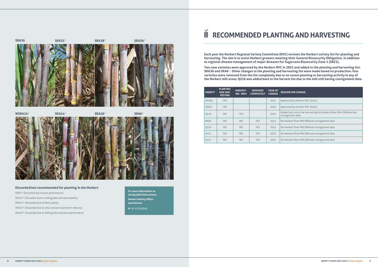$SRA36$   $SRA31^{\wedge}$   $SRA31^{\wedge}$   $SRA28^{\wedge}$ 



| <b>YEAR OF</b><br><b>CHANGE</b> | <b>REASON FOR CHANGE</b>                                                                  |
|---------------------------------|-------------------------------------------------------------------------------------------|
| 2022                            | Approved by Herbert RVC (2022)                                                            |
| 2022                            | Approved by Herbert RVC (2022)                                                            |
| 2022                            | Added back on to the harvesting list Herbert River Mills (Wilmar) has<br>consignment data |
| 2022                            | No Herbert River Mill (Wilmar) consignment data                                           |
| 2022                            | No Herbert River Mill (Wilmar) consignment data                                           |
| 2022                            | No Herbert River Mill (Wilmar) consignment data                                           |
| 2022                            | No Herbert River Mill (Wilmar) consignment data                                           |

| <b>VARIETY</b>    | <b>PLANTING</b><br><b>AND HAR-</b><br><b>VESTING</b> | <b>HARVEST-</b><br><b>ING ONLY</b> | <b>REMOVED</b><br><b>COMPLETELY</b> | <b>YEAR OF</b><br><b>CHANGE</b> | <b>REASON FOR CHANGE</b>                                                                  |
|-------------------|------------------------------------------------------|------------------------------------|-------------------------------------|---------------------------------|-------------------------------------------------------------------------------------------|
| <b>SRA36</b>      | <b>YES</b>                                           |                                    |                                     | 2022                            | Approved by Herbert RVC (2022)                                                            |
| SRA6 <sup>®</sup> | <b>YES</b>                                           |                                    |                                     | 2022                            | Approved by Herbert RVC (2022)                                                            |
| 0216              | NO                                                   | <b>YES</b>                         |                                     | 2022                            | Added back on to the harvesting list Herbert River Mills (Wilmar) has<br>consignment data |
| <b>MIDA</b>       | NO                                                   | N <sub>O</sub>                     | <b>YES</b>                          | 2022                            | No Herbert River Mill (Wilmar) consignment data                                           |
| 0220              | NO.                                                  | NO <sub>1</sub>                    | <b>YES</b>                          | 2022                            | No Herbert River Mill (Wilmar) consignment data                                           |
| 0171              | NO.                                                  | NO.                                | <b>YES</b>                          | 2022                            | No Herbert River Mill (Wilmar) consignment data                                           |
| Q157              | NO <sub>1</sub>                                      | N <sub>O</sub>                     | <b>YES</b>                          | 2022                            | No Herbert River Mill (Wilmar) consignment data                                           |

**For more information on**  *variety field trials* **contact: Herbert Variety Officer Juan Briceno M** 07 4776 8205

![](_page_4_Picture_7.jpeg)

#### **Discarded/not recommended for planting in the Herbert**

SRA7<sup>(t)</sup>: Discarded due to poor performance.

SRA11<sup>®</sup>: Discarded due to milling data and ratoonability.

SRA12<sup>®</sup>: Discarded due to fibre quality.

SRA15<sup>®</sup>: Discarded due to smut concerns (severe in ratoons).

SRA22<sup>®</sup>: Discarded due to milling data and poor performance.

### M **RECOMMENDED PLANTING AND HARVESTING**

**Each year the Herbert Regional Variety Committee (RVC) reviews the Herbert variety list for planting and harvesting. The aim is to assist Herbert growers meeting their General Biosecurity Obligation, in addition to regional disease management of major diseases for Sugarcane Biosecurity Zone 1 (SBZ1).** 

**Two new varieties were approved by the Herbert RVC in 2022 and added to the planting and harvesting list: SRA36 and SRA6<sup>®</sup>. Other changes to the planting and harvesting list were made based on production: four varieties were removed from the list completely due to no recent planting or harvesting activity in any of the Herbert mill areas; Q216 was added back to the harvest list due to the mill still having consignment data.**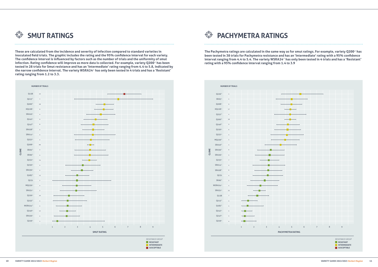![](_page_5_Figure_5.jpeg)

The Pachymetra ratings are calculated in the same way as for smut ratings. For example, variety Q200<sup>*th*</sup> has **been tested in 38 trials for Pachymetra resistance and has an 'Intermediate' rating with a 95% confidence**  interval ranging from 4.4 to 5.4. The variety WSRA24<sup>*b*</sup> has only been tested in 4 trials and has a 'Resistant' **rating with a 95% confidence interval ranging from 1.4 to 3.9**

 $\bigoplus$ **PACHYMETRA RATINGS**

![](_page_5_Picture_0.jpeg)

![](_page_5_Figure_2.jpeg)

**These are calculated from the incidence and severity of infection compared to standard varieties in inoculated field trials. The graphic includes the rating and the 95% confidence interval for each variety. The confidence interval is influenced by factors such as the number of trials and the uniformity of smut**  infection. Rating confidence will improve as more data is collected. For example, variety Q200<sup>*th*</sup> has been **tested in 28 trials for Smut resistance and has an 'Intermediate' rating ranging from 4.4 to 5.8, indicated by**  the narrow confidence interval. The variety WSRA24<sup>®</sup> has only been tested in 4 trials and has a 'Resistant' **rating ranging from 1.2 to 3.3.**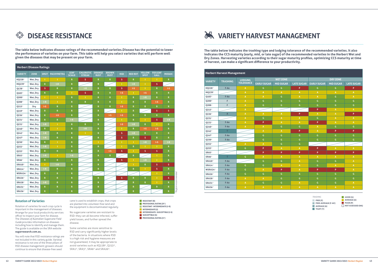#### **Rotation of Varieties**

Rotation of varieties for each crop cycle is important in the management of diseases. Arrange for your local productivity services officer to inspect your farm for disease. The *Diseases of Australian Sugarcane Field Guide* provides information on diseases including how to identify and manage them. The guide is available on the SRA website **sugarresearch.com.au.**

Some varieties are more sensitive to RSD and carry significantly higher levels of the bacteria. In situations where RSD is a high risk and hygiene measures are not guaranteed, it may be appropriate to avoid varieties such as  $KO228^{\phi}$ ,  $O253^{\phi}$ ,  $SRA1^{\phi}$ , SRA3 $^{\phi}$ , SRA6 $^{\phi}$  and SRA26 $^{\phi}$ 

**RESISTANT (R) PROVISIONAL RATING (R\*) RESISTANT -INTERMEDIATE (I-R) INTERMEDIATE (I) INTERMEDIATE- SUSCEPTIBLE (I-S)** 

**SUSCEPTIBLE (S) PROVISIONAL RATING (S\*)** 

# *<u>SA VARIETY HARVEST MANAGEMENT</u>*

You will note that RSD resistance ratings are not included in this variety guide. Varietal resistance is not one of the three pillars of RSD disease management; growers should continue to ensure that disease-free seed

cane is used to establish crops, that crops are planted into volunteer-free land and the equipment is decontaminated regularly.

No sugarcane varieties are resistant to RSD: they can all become infected, suffer yield losses, and further spread the disease.

**The table below indicates the trashing type and lodging tolerance of the recommended varieties. It also indicates the CCS maturity (early, mid, or late sugar) of the recommended varieties in the Herbert Wet and Dry Zones. Harvesting varieties according to their sugar maturity profiles, optimizing CCS maturity at time of harvest, can make a significant difference to your productivity.**

![](_page_6_Figure_16.jpeg)

![](_page_6_Figure_17.jpeg)

*TRASHING* **GOOD (G)** 

 **AVERAGE (A) POOR (P) NOT ASSESSED (NA)**

|                                            | <b>Herbert Disease Ratings</b> |              |                   |                             |                                   |                              |                                                 |              |                |                              |                                |                           |
|--------------------------------------------|--------------------------------|--------------|-------------------|-----------------------------|-----------------------------------|------------------------------|-------------------------------------------------|--------------|----------------|------------------------------|--------------------------------|---------------------------|
| <b>VARIETY</b>                             | <b>ZONE</b>                    | <b>SMUT</b>  | <b>PACHYMETRA</b> | <b>LEAF</b><br><b>SCALD</b> | <b>CHLOROTIC</b><br><b>STREAK</b> | <b>ORANGE</b><br><b>RUST</b> | <b>BROWN</b><br><b>RUST</b>                     | <b>RSD</b>   | <b>RED ROT</b> | <b>YELLOW</b><br><b>SPOT</b> | <b>FIJILEAF</b><br><b>GALL</b> | <b>MOSAIC</b>             |
| КО228 <sup>⊕</sup>                         | Wet, Dry                       | $\mathbf{L}$ | $\mathbf{I}$      | $\mathbb{R}$                | s.                                | ${\bf R}$                    | $\mathbb{R}$                                    | s.           | $\mathbb{R}$   | -1                           | T.                             | $\mathbb{R}$              |
| MQ239 <sup>(b)</sup>                       | Wet, Dry                       | $\mathbf R$  | $I-R$             | $\mathbf R$                 |                                   | ${\bf R}$                    |                                                 | $\mathbf{L}$ | $I-R$          | T.                           | S.                             |                           |
| 0138                                       | Wet, Dry                       | S            | $\mathbb{R}$      | $\mathbf R$                 | $I-R$                             | $\mathbb{R}$                 | $\mathbf R$                                     | s.           | $1-5$          | T.                           | $\mathbb{R}$                   | I-S                       |
| 0183                                       | Wet, Dry                       | $\mathbf R$  | $\mathbf R$       | $\mathbf{I}$                | s.                                | ${\bf R}$                    | $\mathbf R$                                     | I-S          | T.             | $1-5$                        | ${\bf R}$                      | $\mathbb{R}$              |
| Q200 <sup>th</sup>                         | Wet, Dry                       | T.           | T.                | $\mathbb{R}$                | T.                                | $\mathbb{R}$                 | $\mathbb{R}$                                    | T.           | $\mathbb{R}$   | $I-R$                        | $\mathbb{R}$                   | $\mathbb{R}$              |
| Q208 <sup>(b)</sup>                        | Wet, Dry                       | $I-R$        | T                 | $\mathbf R$                 | ${\bf R}$                         | ${\bf R}$                    | $\mathbf R$                                     | T.           | $\mathbf R$    | $\mathbf R$                  | $1-5$                          | $\mathbb{R}$              |
| $Q215^{\circ}$                             | <b>Dry</b>                     | $1-5$        | $\mathbb{R}$      | $\mathbb{R}$                |                                   | $\mathsf R$                  | $\mathbf R$                                     | $1-5$        | $\mathbb{R}$   | $\mathbf{R}$                 | $\mathbf R$                    | $\mathbb{R}$              |
| $Q219^\circ$                               | Wet, Dry                       | $\mathbb{R}$ | $\mathbb{R}$      | $\mathbb{R}$                |                                   | ${\bf R}$                    |                                                 | T.           | $\mathbf R$    |                              | S.                             | S                         |
| Q226 <sup>(b)</sup>                        | Wet, Dry                       | $\mathbb{R}$ | $1-5$             | $\mathbf R$                 |                                   | $\mathbb{R}$                 | $\ensuremath{\mathsf{I}}\ensuremath{\text{-S}}$ | $1-5$        | $\mathbb{R}$   | $\mathbf R$                  | $\mathbb{R}$                   | $\mathbf R$               |
| Q231 <sup>(b)</sup>                        | Wet, Dry                       | $\mathbb{R}$ | ${\bf R}$         | $I-R$                       |                                   | ${\bf R}$                    |                                                 | T.           | $\mathbf R$    | т                            | S.                             | $I-R$                     |
| Q232 <sup>(b)</sup>                        | Wet, Dry                       | $I-R$        | т                 | $\mathbb{R}$                | ${\bf R}$                         | ${\sf R}$                    |                                                 | $1-5$        | $I-R$          | $\mathbf R$                  | T                              | $\mathbf R$               |
| Q240 <sup>(b)</sup>                        | Wet, Dry                       | $\mathbb{R}$ | $\mathbf{I}$      | $\mathbb{R}$                | I-R                               | ${\bf R}$                    |                                                 | $\mathbf{L}$ | $\mathbb{R}$   | $1-5$                        | $1-5$                          | $\mathbb{R}$              |
| Q242 <sup>(b)</sup>                        | Wet, Dry                       | $I-R$        | $\mathbb{R}$      | $\mathbb{R}$                | T.                                | $\mathbb{R}$                 |                                                 | s.           | $I-R$          | $\mathbf R$                  | $\mathbb{R}$                   | $\mathbb{R}$              |
| 0247                                       | Wet, Dry                       | $I-R$        | $\mathbf R$       | $\mathbf R$                 |                                   | ${\bf R}$                    |                                                 | s            | $\mathbf R$    | s.                           | ${\bf R}$                      | $\mathbf R$               |
| $Q250^{\circ}$                             | Wet, Dry                       | $\mathbb{R}$ | T                 | $\mathbf R$                 |                                   | T                            |                                                 | T.           | т              | $I-R$                        | $1-5$                          | $I-R$                     |
| Q252 <sup>(b)</sup>                        | Wet, Dry                       | $I-R$        | т                 | $\mathbf R$                 |                                   | ${\sf R}$                    |                                                 | T.           | $\mathbf R$    | T.                           | T                              | $\mathbf R$               |
| Q253 <sup>(b)</sup>                        | Wet, Dry                       | $\mathbb{R}$ | $\mathbb{R}$      | $\mathbf R$                 |                                   | ${\bf R}$                    | $1-5$                                           | s.           | Т              | s.                           | s.                             | $\mathbb{R}$              |
| SRA5 <sup>®</sup>                          | Wet, Dry                       | $I-R$        | $\mathbf{I}$      | $I-R$                       |                                   | $\mathsf R$                  | $\mathbf R$                                     |              | $\mathbf R$    |                              | $\mathbf{I}$                   | $\mathbb{R}$              |
| SRA6 <sup>(b)</sup>                        | Wet, Dry                       | $\mathbf R$  | $\mathbb{R}$      | $\mathbf R$                 |                                   | ${\bf R}$                    |                                                 | s.           | T              | $I-R$                        | т                              | $\mathbb{R}$              |
| <b>SRA10</b> <sup><math>\circ</math></sup> | Wet, Dry                       | T.           | $I-R$             | $\mathbb{R}$                |                                   | ${\bf R}$                    |                                                 |              | т              | $\mathbb{R}$                 | s.                             | S                         |
| <b>SRA14</b> <sup>(b)</sup>                | Wet, Dry                       | $I-R$        | $\mathbf R$       | $\mathbf R$                 |                                   | ${\sf R}$                    |                                                 |              | $\mathbb{R}$   | т.                           | s.                             | $\mathbf R$               |
| WSRA24 <sup>(b)</sup>                      | Wet, Dry                       | $\mathbb{R}$ | $\mathbb{R}$      | $\mathbb{R}$                |                                   |                              |                                                 |              |                |                              | T.                             | $\mathbb{R}$              |
| <b>SRA26</b> <sup>(b)</sup>                | Wet, Dry                       | $\mathbf R$  | $\mathbf R$       | $\mathbf R$                 |                                   | ${\sf R}$                    |                                                 | s.           | ${\bf R}$      | $\mathsf R$                  | T                              | * Region recommended<br>s |
| <b>SRA28</b> <sup>(b)</sup>                | Wet, Dry                       | $I-R$        | $\mathbb{R}$      | $\mathbb{R}$                |                                   | $\mathsf R$                  |                                                 |              | $\mathbf R$    | $\mathbb{R}$                 | т                              | $\mathbb{R}$              |
| <b>SRA31</b> <sup>(b)</sup>                | Wet, Dry                       | $\mathbb{R}$ | $\mathbf R$       | $\mathbf R$                 |                                   | ${\bf R}$                    |                                                 |              | $\mathbb{R}$   |                              | $\mathbf R$                    | $\mathbb{R}$              |
| <b>SRA36</b> <sup>(b)</sup>                | Wet, Dry                       | $\mathbb{R}$ | $\mathbb{R}$      | $\mathbb{R}$                |                                   | $\overline{\mathsf{R}}$      |                                                 |              | $\mathbb{R}$   |                              |                                | $\mathsf R$               |

**The table below indicates disease ratings of the recommended varieties.Disease has the potential to lower the performance of varieties on your farm. This table will help you select varieties that will perform well given the diseases that may be present on your farm.** 

# **DISEASE RESISTANCE**

| <b>Herbert Harvest Management</b>         |                 |                                    |                    |                  |                   |                           |                  |                           |  |
|-------------------------------------------|-----------------|------------------------------------|--------------------|------------------|-------------------|---------------------------|------------------|---------------------------|--|
|                                           | <b>TRASHING</b> | <b>LODGING</b><br><b>TOLERANCE</b> |                    | <b>WET ZONE</b>  |                   | <b>DRY ZONE</b>           |                  |                           |  |
| <b>VARIETY</b>                            |                 |                                    | <b>EARLY SUGAR</b> | <b>MID SUGAR</b> | <b>LATE SUGAR</b> | <b>EARLY SUGAR</b>        | <b>MID SUGAR</b> | <b>LATE SUGAR</b>         |  |
| KQ228 <sup>(b)</sup>                      | F-Av            | A                                  | $\mathsf{G}$       | $\mathsf{G}$     | P                 | G                         | $\mathsf{G}$     | P.                        |  |
| MQ239 <sup>(b)</sup>                      |                 | $\mathbb A$                        | $\mathbf{A}$       | $\mathbf{A}$     | $\mathbf{A}$      | $\mathbf{A}$              | $\mathbf{A}$     | $\mathbf{A}$              |  |
| Q183 <sup>(b)</sup>                       | F-Av            | $\mathbf{A}$                       | $\mathbf{A}$       | $\mathsf{G}$     | $\mathbf{A}$      | $\overline{A}$            | G                | $\mathbf{A}$              |  |
| Q200 <sup>(b)</sup>                       | F               | $\mathbf{A}$                       | $\mathsf{G}$       | $\mathsf{G}$     | $\mathsf{G}$      | $\mathsf{G}$              | $\mathsf{G}$     | G                         |  |
| Q208 <sup>(b)</sup>                       | F               | A                                  | $\mathsf{G}$       | $\mathsf{G}$     | $\mathsf{G}$      | $\mathsf{G}$              | $\mathsf{G}$     | G                         |  |
| $Q215^{\circ}$                            |                 | $\mathbb A$                        |                    |                  |                   | P                         | $\mathbf{A}$     | $\mathbf{A}$              |  |
| Q226 <sup>(b)</sup>                       | $\overline{A}$  | $\mathbb A$                        | $\mathbf{A}$       | $\mathbf{A}$     | P                 | $\overline{A}$            | $\mathbf{A}$     | P                         |  |
| Q231 <sup>(b)</sup>                       |                 | $\mathbf{A}$                       | $\mathsf{G}$       | $\mathbf{A}$     | $\mathbf{A}$      | $\mathsf{G}$              | $\overline{A}$   | $\mathbf{A}$              |  |
| Q232 <sup>(b)</sup>                       | F-Av            | A                                  | P                  | $\mathbf{A}$     | $\mathbf{A}$      | P                         | $\mathbf{A}$     | $\boldsymbol{\mathsf{A}}$ |  |
| Q240 <sup>(b)</sup>                       | F-Av            | $\mathbb A$                        | $\mathbf{A}$       | $\mathsf{G}$     | $\mathsf{G}$      | $\mathbb A$               | $\mathsf{G}$     | G                         |  |
| Q242 <sup>(b)</sup>                       | T.              |                                    | $\mathbf{A}$       | $\mathbf{A}$     | P                 | $\mathbb A$               | P                | P                         |  |
| Q247 <sup>(b)</sup>                       | F-Av            |                                    | $\mathsf{G}$       | $\mathsf{G}$     | $\mathsf{G}$      | $\mathsf{G}$              | G.               | G                         |  |
| Q250 <sup>(b)</sup>                       | F-Av            |                                    | $\mathsf{G}$       | $\mathsf{G}$     | $\mathsf{G}$      | $\mathsf{G}$              | $\mathsf{G}$     | $\mathsf{G}$              |  |
| Q252 <sup>(b)</sup>                       |                 | A                                  | $\mathbf{A}$       | $\mathsf{G}$     | $\mathsf{G}$      |                           |                  |                           |  |
| Q253 <sup>(b)</sup>                       |                 | $\mathsf{G}$                       | P                  | $\mathbf{A}$     | $\mathbf{A}$      | P                         | $\mathbb A$      | $\pmb{\mathsf{A}}$        |  |
| SRA5 <sup>®</sup>                         |                 |                                    | P                  | P                | P                 | P                         | P                | P                         |  |
| SRA6 <sup>(b)</sup>                       | T.              | $\mathsf{G}$                       | $\mathbf{A}$       | $\mathbf{A}$     | $\mathbf{A}$      | $\boldsymbol{\mathsf{A}}$ | $\mathbb A$      | $\boldsymbol{\mathsf{A}}$ |  |
| <b>SRA10</b> <sup><math>\Phi</math></sup> | F-Av            |                                    | $\mathsf{G}$       | $\mathsf{G}$     | $\overline{A}$    | $\mathsf{G}$              | $\mathsf{G}$     | $\mathbf{A}$              |  |
| <b>SRA14</b> <sup>(b)</sup>               | F-Av            | $\mathsf{G}$                       | $\mathsf{G}$       | $\mathbf{A}$     | $\mathbf{A}$      | G.                        | $\mathbb A$      | A                         |  |
| WSRA24 <sup>(b)</sup>                     | F-Av            | $\mathsf{G}$                       | $\mathbf{A}$       | P.               | $\mathbf{A}$      | P                         | P                | $\mathbf{A}$              |  |
| <b>SRA26</b> <sup>(b)</sup>               | F-Av            | $\mathsf{G}$                       | $\mathsf{G}$       | $\mathsf{G}$     | G.                | G                         | G.               | G                         |  |
| SRA28 <sup>th</sup>                       | F-Av            | $\mathbf{A}$                       | $\mathbf{A}$       | $\mathsf{G}$     | $\mathsf{G}$      | G                         | $\mathsf{G}$     | G.                        |  |
| SRA31 <sup>(b)</sup>                      | F-Av            | A                                  | $\mathsf{G}$       | $\mathsf{G}$     | $\mathbf{A}$      | G.                        | $\mathsf{G}$     | A                         |  |
| <b>SRA36</b> <sup>(b)</sup>               | F-Av            | $\mathbf{A}$                       | $\mathbf{A}$       | $\mathbf{A}$     | $\mathbf{A}$      | $\mathbb A$               | $\mathbb A$      | $\mathbb A$               |  |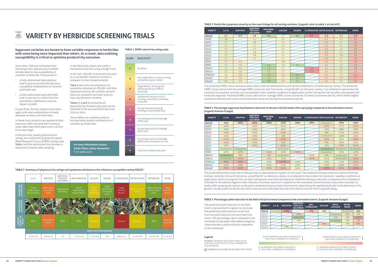#### **TABLE 3 Herbicide symptoms severity on the cane foliage for all testing varieties. (Legend: refer to table 1 on the left)**

| <b>VARIETY</b>        | $2,4-D$ | <b>AMETRYN</b> | AMETRYN+<br><b>TRIFLOXY-</b><br><b>SULFURON</b> | <b>AMICARBA-</b><br><b>ZONE</b> | <b>ASULAM</b> | <b>DIURON</b> |     | FLUMIOXAZIN METOLACHLOR METRIBUZIN |     | <b>MSMA</b> |
|-----------------------|---------|----------------|-------------------------------------------------|---------------------------------|---------------|---------------|-----|------------------------------------|-----|-------------|
| КО228 <sup>⊕</sup>    | 1.7     | 2.0            | 1.8                                             | 1.4                             | 1.7           | 1.4           | 3.7 | 2.2                                | 1.7 | 2.9         |
| 0208                  | 1.6     |                | 1.7                                             |                                 | 1.7           |               |     | 2.2                                | 1.7 | 2.9         |
| $Q232^{\circ}$        | 1.7     |                | 1.8                                             |                                 | 1.7           |               |     | 2.3                                | 1.7 | 2.9         |
| 0240 <sup>(b)</sup>   | 1.7     |                | 1.7                                             |                                 | 1.7           |               |     | 2.2                                | 1.7 | 2.9         |
| $Q242^{\circ}$        | 1.7     |                | 1.7                                             |                                 | 1.7           |               |     | 2.3                                | 1.7 | 2.9         |
| 0250                  | 1.7     |                | 1.8                                             |                                 | 1.7           |               |     | 2.3                                | 1.7 | 2.9         |
| $Q252^{\circ}$        | 1.7     |                | 1.8                                             |                                 | 1.7           |               |     | 2.3                                | 1.6 | 2.9         |
| 0253                  | 1.7     |                | 1.7                                             |                                 | 1.7           |               |     | 2.4                                | 1.7 | 2.9         |
| SRA5 <sup>®</sup>     | 1.7     | 2.0            |                                                 |                                 | 1.8           |               |     | 2.2                                | 1.7 | 2.9         |
| SRA6 <sup>®</sup>     | 1.7     | 2.0            |                                                 | 1.4                             | 1.9           | 1.4           |     | 2.2                                | 1.7 | 2.9         |
| SRA10 <sup>th</sup>   | 1.7     | 2.0            |                                                 | 1.4                             | 1.7           |               | 3.6 | 2.2                                | 1.6 | 2.8         |
| SRA14 <sup>(b)</sup>  | 1.7     | 1.9            |                                                 | 1.5                             | 1.7           |               | 3.6 | 2.1                                | 1.7 | 2.7         |
| WSRA24 <sup>(b)</sup> | 1.8     | 1.6            |                                                 | 1.3                             | 2.1           | 1.2           |     | 2.2                                | 1.7 | 3.0         |
| SRA26 <sup>(b)</sup>  | 1.7     | 1.9            |                                                 | 1.4                             | 1.7           | 1.4           |     | 2.2                                | 1.6 | 3.1         |
| SRA28 <sup>(b)</sup>  | 1.6     | 2.0            |                                                 | 1.3                             | 2.0           | 1.4           |     | 2.2                                | 1.7 | 2.9         |

# **ZONE ASULAM DIURON FLUMIOXAZIN METOLACHLOR METRIBUZIN MSMA**

| <b>VARIETY</b>        | $2,4-D$      | <b>AMETRYN</b> | AMETRYN+<br><b>TRIFLOXY-</b><br><b>SULFURON</b> | <b>AMICARBA-</b><br><b>ZONE</b> | <b>ASULAM</b> | <b>DIURON</b> |        | FLUMIOXAZIN METOLACHLOR METRIBUZIN |              | <b>MSMA</b>  |
|-----------------------|--------------|----------------|-------------------------------------------------|---------------------------------|---------------|---------------|--------|------------------------------------|--------------|--------------|
| KQ228 <sup>(1)</sup>  | $-26%$       | $-50%$         | $-56%$                                          | $-10%$                          | $-25%$        | $-18%$        | $-39%$ | no reduction                       | $-30%$       | $-26%$       |
| 0208                  | $-36%$       |                | $-34%$                                          |                                 | $-22%$        |               |        | $-54%$                             | $-27%$       | $-55%$       |
| $0232^{\circ}$        | $-20%$       |                | $-43%$                                          |                                 | $-36%$        |               |        | $-34%$                             | $-18%$       | $-38%$       |
| 0240 <sup>(b)</sup>   | $-43%$       |                | $-29%$                                          |                                 | $-51%$        |               |        | $-8%$                              | $-27%$       | $-42%$       |
| $0242^{\circ}$        | $-21%$       |                | $-12%$                                          |                                 | $-4%$         |               |        | no reduction                       | $-12%$       | $-16%$       |
| 0250                  | $-57%$       |                | $-54%$                                          |                                 | $-77%$        |               |        | $-59%$                             | $-26%$       | $-69%$       |
| 0252 <sup>(b)</sup>   | $-46%$       |                | $-11%$                                          |                                 | $-3%$         |               |        | $-7%$                              | $-26%$       | $-31%$       |
| 0253 <sup>(b)</sup>   | $-36%$       |                | $-50%$                                          |                                 | $-62%$        |               |        | $-19%$                             | $-57%$       | $-60%$       |
| SRA5 <sup>®</sup>     | no reduction | no reduction   |                                                 |                                 | no reduction  |               |        | no reduction                       | no reduction | no reductior |
| SRA6 <sup>®</sup>     | $-29%$       | $-50%$         |                                                 | $-54%$                          | $-15%$        | $-72%$        |        | no reduction                       | $-35%$       | $-47%$       |
| SRA10 <sup>th</sup>   | no reduction | $-5%$          |                                                 | $-1\%$                          | no reduction  |               | $-31%$ | $-5%$                              | no reduction | $-7%$        |
| $SRA14^{\circ}$       | no reduction | $-72%$         |                                                 | $-43%$                          | $-13%$        |               | $-67%$ | $-22%$                             | no reduction | $-75%$       |
| WSRA24 <sup>(b)</sup> | $-86%$       | $-98%$         |                                                 | $-25%$                          | $-117%$       | $-11%$        |        | $-15%$                             | $-24%$       | $-67%$       |
| SRA26 <sup>(b)</sup>  | $-43%$       | $-48%$         |                                                 | $-22%$                          | $-37%$        | $-25%$        |        | $-13%$                             | $-40%$       | $-52%$       |
| SRA28 <sup>(b)</sup>  | $-78%$       | $-95%$         |                                                 | $-63%$                          | $-82%$        | $-34%$        |        | $-108%$                            | $-82%$       | $-110%$      |

The predicted EWRC scores and associated colour code are presented for each tested combination of herbicides by variety. The predicted EWRC scores derive from the average EWRC scores for each trial series, using KQ228<sup>®</sup> as reference variety, in an attempt to harmonise trial variations as symptom severity can vary between trials: weather conditions at application, and/or during the trial can alter cane growth and herbicide response. Predicted EWRC scores derive from average EWRC scores across the 10-week assessment period, which means higher symptoms intensity and scores could have been observed during the assessment period.

#### 燕 **VARIETY BY HERBICIDE SCREENING TRIALS**

#### **TABLE 4 Percentage sugarcane dry biomass reduction in the pot trial (10 weeks after spraying) compared to the untreated control. (Legend: bottom of page)**

In the field trials, plant cane yield is measured at harvest using a weigh truck. In all trials, KO228<sup>®</sup> is assessed and used

> The predicted biomass reduction in the pot trials is represented in a green-to-red scale. The predicted biomass reduction derives from the biomass reduction for each trial series, using KO228<sup>®</sup> as reference variety, in an attempt to harmonise trial variations : weather conditions at application, and/or during the trial can alter cane growth and herbicide response. Predicted biomass reduction compared to the untreated is indicated in the table (a negative value indicates a biomass reduction compared to the untreated). Severe biomass reductions recorded 10 weeks after spraying are typical, as the plant metabolism has just been diverted into detoxifying the applied herbicide to the detriment of its growth. Usually yield loss by harvest time is less severe as the plant has had more time to recover from its growth delay.

#### **TABLE 5 Percentage yield reduction in the field trial (at harvest) compared to the untreated control. (Legend: bottom of page)**

| <b>VARIETY</b>      | $2.4 - D$    | <b>AMETRYN</b> | AMETRYN+<br><b>TRIFLOXY-</b><br><b>SULFURON</b> | AMI-<br><b>CARBAZONE</b> | <b>ASULAM</b> | METO-<br><b>LACHLOR</b> | <b>METRI-</b><br><b>BUZIN</b> | <b>MSMA</b> |
|---------------------|--------------|----------------|-------------------------------------------------|--------------------------|---------------|-------------------------|-------------------------------|-------------|
| <b>KO228</b>        | no reduction | $-11%$         |                                                 | $-7%$                    | $-1%$         |                         | no reduction                  | $-1%$       |
| 0232 <sup>(b)</sup> |              |                | $-6%$                                           |                          |               | no reduction            | $-4%$                         | $-1\%$      |
| $0242^{0}$          |              |                | no reduction                                    |                          |               | $-3%$                   | $-2%$                         | $-11%$      |
| 0250 <sup>(b)</sup> |              |                | $-1\%$                                          |                          |               | no reduction            | $-1\%$                        | $-5%$       |
| SRA6 <sup>®</sup>   |              |                |                                                 |                          | $-6%$         |                         | $-1\%$                        | $-6%$       |
| $SRA14^{\circ}$     |              | $-1\%$         |                                                 |                          |               |                         |                               |             |

COMBINATION OF HERBICIDE BY VARIETY NOT TESTED

#### **Legend**

% VALUE = BIOMASS/YIELD REDUCTION (-%) OR GAIN (+%) IN THE POT/FIELD TRIAL COMPARED TO THE UNTREATED

The predicted yield reduction in the field trials is represented in a green-to-red scale. The predicted yield reduction is derived from the yield reduction for each field trial series. The percentage value compared to the untreated is indicated in the table (a negative value indicates a yield reduction compared to the untreated).

> NO BIOMASS/YIELD REDUCTION IN POT/ FIELD TRIAL COMPARED TO UNTREATED

MODERATE BIOMASS/YIELD REDUCTION IN POT/FIELD TRIAL COMPARED TO UNTREATED

SLIGHT BIOMASS/YIELD REDUCTION IN POT/ FIELD TRIAL COMPARED TO UNTREATED

SEVERE BIOMASS/YIELD REDUCTION IN POT/ FIELD TRIAL COMPARED TO UNTREATED

Since 2014, SRA has conducted trials following a two-step process to obtain reliable data for the susceptibility of varieties to herbicide. This process is:

- a fully randomised replicated pot trial in year one to shortlist the most susceptible combinations of varieties and herbicides
- a fully randomised replicated field trial in year two to confirm that the shortlisted combinations have an impact on yield.

In year three, the two-step process starts again, with new combinations of newly released varieties and herbicides.

In these trials, products are applied at their maximum label rate (and their minimum water label rate) when plant cane is at fourto six-leaf stage.

In the pot trials, weekly phytotoxicity ratings are conducted using the European Weed Research Council (EWRC) rating scale Table 1 and the aerial plant dry biomass is measured 10 weeks after spraying.

as a susceptible reference variety to compare to other tested varieties.

Table 2 describes the phytotoxicity symptoms obtained on  $KO228^{\phi}$  and their expected severity. All varieties present identical symptoms but their severity may vary between varieties.

Tables 3, 4 and 5 summarise all phytotoxicity, biomass and yield results obtained in the pot and field trials from 2014 to 2021.

These tables are updated yearly to include newly tested combinations of varieties by herbicides.

![](_page_7_Figure_14.jpeg)

**For more information contact: Emilie Fillols, Senior Researcher T** 07 4056 4510

**TABLE 1 EWRC selectivity rating scale**

TABLE 2 Summary of phytotoxicity ratings and symptoms obtained on the reference susceptible variety KQ228<sup>4</sup>

![](_page_7_Figure_16.jpeg)

**Sugarcane varieties are known to have variable responses to herbicides with some being more impacted than others. As a result, data outlining susceptibility is critical to optimise productivity outcomes.**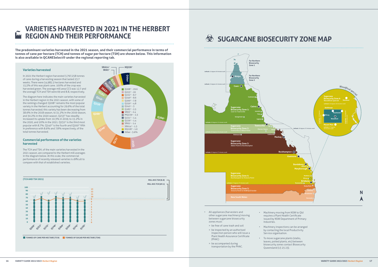![](_page_8_Figure_8.jpeg)

## **SUGARCANE BIOSECURITY ZONE MAP**

#### **Varieties harvested**

In 2021 the Herbert region harvested 3,797,258 tonnes of cane during a harvesting season that lasted 23.7 weeks. There were 54,985.5 hectares harvested and 15,5% of this was plant cane. 100% of the crop was harvested green. The average mill area CCS was 12.7 and the average TCH and TSH were 69 and 8.8, respectively.

The diagram here indicates the main varieties harvested in the Herbert region in the 2021 season, with some of the rankings changed:  $0208^\circ$  remains the most popular variety in the Herbert accounting for 29.6% of the total tonnes harvested; this variety has been decreasing from 38.6% in the 2018 season, to 31.2% in the 2019 season, and 30.2% in the 2020 season.  $Q$ 253 $\Phi$  has steadily increased its uptake from 10.3% in 2019, to 15.2% in the 2020, and 20% in the 2021. Q232 $\Phi$  is the third most popular with 8.7%. Q240 $^{\circ}$  is the fourth and Q200 $^{\circ}$  fifth in preference with 8.6% and 7.8% respectively, of the total tonnes harvested.

![](_page_8_Figure_7.jpeg)

#### **Commercial performance of the varieties harvested**

The TCH and TSH, of the main varieties harvested in the 2021 season, are compared to the Herbert mill averages in the diagram below. At this scale, the commercial performance of recently released varieties is difficult to compare with that of established varieties.

#### **VARIETIES HARVESTED IN 2021 IN THE HERBERT REGION AND THEIR PERFORMANCE** W

- between sugarcane biosecurity zones must:
- > be free of cane trash and soil
- > be inspected by an authorised inspection person who will issue a Plant Health Assurance Certificate (PHAC)
- > be accompanied during transportation by the PHAC.
- issued by NSW Department of Primary Industries.
- Service organisation. • To move sugarcane plants (stalks,
- leaves, potted plants, etc) between biosecurity zones contact Biosecurity Queensland (13 25 23).

• Machinery inspections can be arranged by contacting the local Productivity

![](_page_8_Figure_10.jpeg)

**The predominant varieties harvested in the 2021 season, and their commercial performance in terms of tonnes of cane per hectare (TCH) and tonnes of sugar per hectare (TSH) are shown below. This information is also available in QCANESelect® under the regional reporting tab.**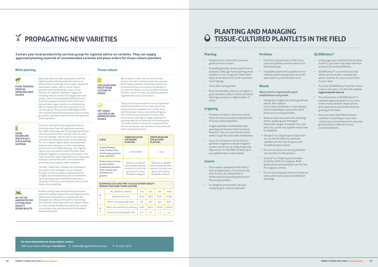# **PROPAGATING NEW VARIETIES**

**For more information on** *tissue culture***, contact:** *SRA Tissue Culture Manager* **Clair Bolton E** cbolton@sugarresearch.com.au **T** 07 3331 3374

 $\sigma$ **PLANT MATERIAL FROM AN APPROVED SEED SOURCE**

**Contact your local productivity services group for regional advice on varieties. They can supply approved planting material of recommended varieties and place orders for tissue culture plantlets.**

#### **Billet planting**

₩ **GROW SUGARCANE SPECIFICALLY FOR PLANTING MATERIAL**

Approved seed provides cane growers with the highest quality planting materials in terms of disease status and being 'true-to-type'. Approved seed (stalks, billets, setts or tissue culture plantlets used for planting) is a key control measure for systemic diseases of sugarcane, including chlorotic streak, Fiji leaf gall, leaf scald, mosaic, ratoon stunting disease (RSD) and smut. Provision of approved seed in each mill area in the Australian sugar industry is coordinated by SRA, in cooperation with the local productivity services group. SRA provides DNA fingerprinted new varieties which the local productivity services group then maintains and distributes the approved seed to growers.

 $\sum_{i=1}^{n}$ **SET UP THE HARVESTER FOR CUTTING HIGH QUALITY SOUND BILLETS**

扁 **CALCULATE HOW MUCH TISSUE CULTURE TO ORDER**

#### $\left(\bigvee\right)$ **TRY TISSUE CULTURE AS AN APPROVED SEED SOURCE**

The block selected for growing plant material should be weed-free and sugarcane volunteerfree. When selecting cane for planting material the cane should be less than one year old, erect and free from damage. Plan for two or more eyes per sett when harvesting for billets or stick planting. For non-irrigated regions plants should be well watered, have adequate nutrition immediately prior to harvest for billet planting. For irrigated regions you may need to reduce fertiliser rates, withhold irrigation or plant late in the season. The cane should also have originated from an approved seed plot and therefore be no more than three years away from long hot water treatment.

The best "whole farm" disease risk minimisation and productivity strategies can be achieved through consistent access to approved seed. It is highly recommended that cane considered for use as planting material be RSD tested well in advanced of harvest so an informed choice can be made prior to planting.

Rubber coating rollers and optimising the roller speeds to chopper speed will produce good quality billets with minimal split or crushed ends and damaged eyes. Reduce the speed of harvesting and maintain sharp basecutter and chopper blades for clean cutting. Disinfect the machinery used to cut and plant new varieties to limit the spread of disease and weeds.

#### **Tissue culture**

We've made it easier with our online tissue culture calculator. It demonstrates the speed at which large quantities of planting material can be produced from a set number of plantlets or for a set cost. Below is a look-up table including common results from the calculator (available at sugarresearch.com.au/calculator).

Tissue culture is an excellent source of approved seed for all varieties and can help reduce the spread of serious diseases such as RSD, smut and Fiji leaf gall. Tissue-cultured plantings are more uniform and produce more sticks than conventional plantings so larger quantities of planting material are achieved the following year. This means earlier commercial-scale production of more productive new varieties can be achieved when using tissue culture.

| <b>STAGE</b>                                                                                                       | <b>ORDER DEADLINE</b><br><b>FOR SPRING</b><br><b>PLANTING</b>                                                     | <b>ORDER DEADLINE</b><br><b>FOR AUTUMN</b><br><b>PLANTING</b>                                                    |  |
|--------------------------------------------------------------------------------------------------------------------|-------------------------------------------------------------------------------------------------------------------|------------------------------------------------------------------------------------------------------------------|--|
| <b>Grower finalises</b><br>order. Productivity<br>services group places<br>order with SRA.                         | 15 November                                                                                                       | 1 July                                                                                                           |  |
| Productivity services<br>group receives<br>established plantlets<br>from nursery and<br>distributes to<br>growers. | Delivery on agreed<br>date between grower,<br>productivity services<br>group and nursery.<br>Available in August. | Delivery on agreed<br>date between grower,<br>productivity services<br>group and nursery.<br>Available in March. |  |

| <b>ESTIMATED COST AND TIME TO SCALE UP NEW VARIETY</b><br><b>PRODUCTION USING TISSUE CULTURE</b> |                                  |       |             |       |        |  |  |  |  |
|--------------------------------------------------------------------------------------------------|----------------------------------|-------|-------------|-------|--------|--|--|--|--|
| Yr<br>1                                                                                          | No. plantlets ordered            | 100   | 250         | 500   | 1000   |  |  |  |  |
|                                                                                                  | Approximate cost                 | \$150 | <b>S375</b> | \$750 | \$1500 |  |  |  |  |
|                                                                                                  | Metre row planted @ 0.8m         | 80    | 200         | 400   | 800    |  |  |  |  |
| Yr<br>$\overline{2}$                                                                             | Metre row available for planting | 2400  | 6000        | 12000 | 24000  |  |  |  |  |
|                                                                                                  | Ha avail for planting $@$ 1.8m   | 0.4   | 1.1         | 2.2   | 4.3    |  |  |  |  |

#### **Planting**

• Prepare soil to a fine tilth to ensure good soil/root contact.

- A seedling planter can be used if one is available, although hand planting small numbers is not a huge job. Plant them deep at the bottom of a drill to prevent stool tipping.
- Fill in after early growth.
- Plant the plantlets 50cm to 1m apart. A good distance is 80cm, which will allow tillering to produce a high number of sticks.

#### **Irrigating**

- Provision of water is the most critical factor for the successful establishment of tissue culture plantlets.
- Irrigate plantlets immediately after planting and monitor them to ensure they don't dry out over the first three weeks to get the roots well established.
- If you do not have access to flood or sprinkler irrigation a simple irrigation system can be set up using cheap drip tape and an in-line filter hooked up to your garden tap or water tanker.

#### **Insects**

- If you expect problems with insects then an application of an insecticide drench (such as chlorpyrifos or imidacloprid) at planting will protect the young plantlets.
- In canegrub-prone areas use your standard grub control treatment.

**Fertiliser**

billet plantings.

- Fertiliser requirements of the tissue cultured plantlets are the same as for
	- If possible, plant with a planter mix to maintain good early growth, and sidedress later to avoid fertiliser burn.

#### **Weeds** *Weed control is important for good*

## *establishment and growth.*

- Ideally pre-irrigate the soil to germinate weeds, then apply a knock-down herbicide or cultivate just prior to planting to reduce the weed
- Allow at least one week after planting before applying pre-emergent herbicides, longer if planted into cold, to establish:
- > Atradex® at 2.5kg/ha plus Dual Gold® at 1.5L/ha has been successfully applied over the top, for grass and broadleaf weed control.
- > Do not use diuron as young plantlets are sensitive to this product.
- Sempra® at 100g/ha plus Activator at 200mL/100L for nutgrass. Both applications were sprayed over the top for nutgrass control.
- other option and only on established plantings.
- 
- pressure on young plantlets.
- wet soils, as the root system needs time
	-
- Do not use paraquat unless you have no

#### **QCANESelect**®

• Using sugarcane varieties that are bestsuited to your farm may help maximise productivity and profitability.

- QCANESelect® is an online tool that allows you to review, compare and select varieties for use on each block on your farm.
- To access QCANESelect® and the tissue culture calculator visit the SRA website **sugarresearch.com.au**
- The information in QCANESelect<sup>®</sup> is updated regularly based on our most recent trials and from observations and experiences of varieties that are growing in the field.
- Once you have identified the best varieties for planting on your farm, contact your local productivity services group to place orders for tissuecultured plantlets.

## **PLANTING AND MANAGING TISSUE-CULTURED PLANTLETS IN THE FIELD**